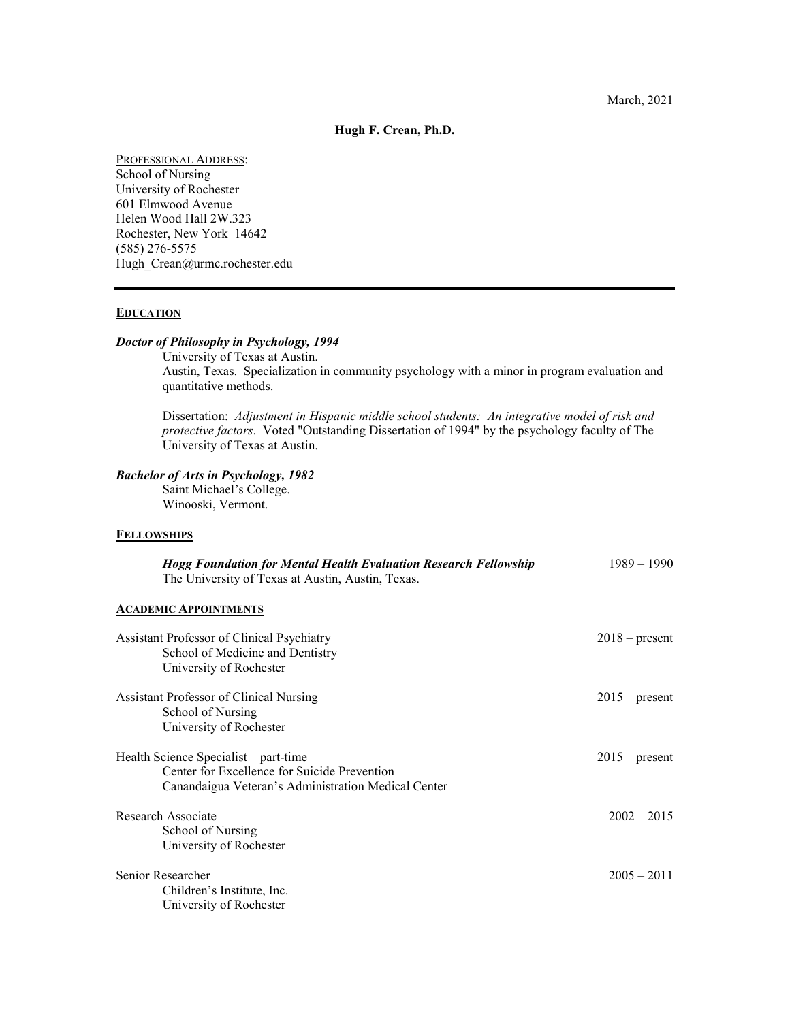**Hugh F. Crean, Ph.D.**

PROFESSIONAL ADDRESS: School of Nursing University of Rochester 601 Elmwood Avenue Helen Wood Hall 2W.323 Rochester, New York 14642 (585) 276-5575 Hugh Crean@urmc.rochester.edu

# **EDUCATION**

# *Doctor of Philosophy in Psychology, 1994*

University of Texas at Austin. Austin, Texas. Specialization in community psychology with a minor in program evaluation and quantitative methods.

Dissertation: *Adjustment in Hispanic middle school students: An integrative model of risk and protective factors*. Voted "Outstanding Dissertation of 1994" by the psychology faculty of The University of Texas at Austin.

# *Bachelor of Arts in Psychology, 1982*

Saint Michael's College. Winooski, Vermont.

#### **FELLOWSHIPS**

| <b>Hogg Foundation for Mental Health Evaluation Research Fellowship</b><br>The University of Texas at Austin, Austin, Texas.                 | $1989 - 1990$    |
|----------------------------------------------------------------------------------------------------------------------------------------------|------------------|
| <b>ACADEMIC APPOINTMENTS</b>                                                                                                                 |                  |
| Assistant Professor of Clinical Psychiatry<br>School of Medicine and Dentistry<br>University of Rochester                                    | $2018$ – present |
| <b>Assistant Professor of Clinical Nursing</b><br>School of Nursing<br>University of Rochester                                               | $2015$ – present |
| Health Science Specialist - part-time<br>Center for Excellence for Suicide Prevention<br>Canandaigua Veteran's Administration Medical Center | $2015$ – present |
| Research Associate<br>School of Nursing<br>University of Rochester                                                                           | $2002 - 2015$    |
| Senior Researcher<br>Children's Institute, Inc.<br>University of Rochester                                                                   | $2005 - 2011$    |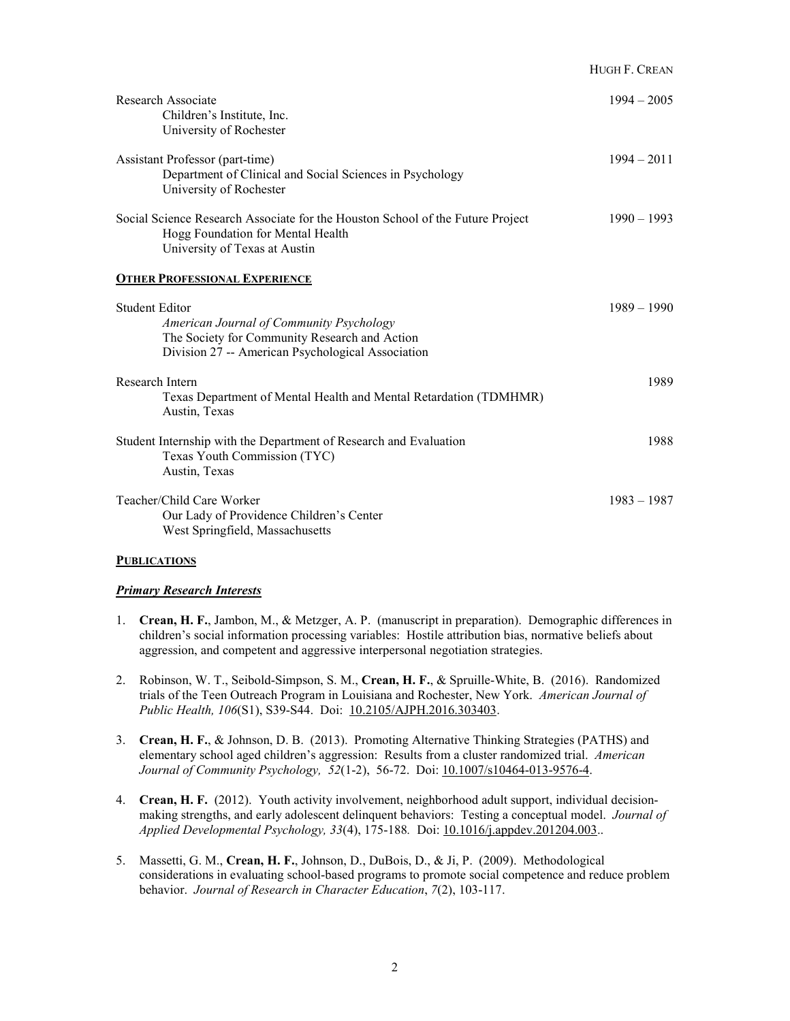|                                                                                                                                                                         | HUGH F. CREAN |
|-------------------------------------------------------------------------------------------------------------------------------------------------------------------------|---------------|
| Research Associate<br>Children's Institute, Inc.<br>University of Rochester                                                                                             | $1994 - 2005$ |
| Assistant Professor (part-time)<br>Department of Clinical and Social Sciences in Psychology<br>University of Rochester                                                  | $1994 - 2011$ |
| Social Science Research Associate for the Houston School of the Future Project<br>Hogg Foundation for Mental Health<br>University of Texas at Austin                    | $1990 - 1993$ |
| <b>OTHER PROFESSIONAL EXPERIENCE</b>                                                                                                                                    |               |
| <b>Student Editor</b><br>American Journal of Community Psychology<br>The Society for Community Research and Action<br>Division 27 -- American Psychological Association | $1989 - 1990$ |
| Research Intern<br>Texas Department of Mental Health and Mental Retardation (TDMHMR)<br>Austin, Texas                                                                   | 1989          |
| Student Internship with the Department of Research and Evaluation<br>Texas Youth Commission (TYC)<br>Austin, Texas                                                      | 1988          |
| Teacher/Child Care Worker<br>Our Lady of Providence Children's Center<br>West Springfield, Massachusetts                                                                | $1983 - 1987$ |

# **PUBLICATIONS**

#### *Primary Research Interests*

- 1. **Crean, H. F.**, Jambon, M., & Metzger, A. P. (manuscript in preparation). Demographic differences in children's social information processing variables: Hostile attribution bias, normative beliefs about aggression, and competent and aggressive interpersonal negotiation strategies.
- 2. Robinson, W. T., Seibold-Simpson, S. M., **Crean, H. F.**, & Spruille-White, B. (2016). Randomized trials of the Teen Outreach Program in Louisiana and Rochester, New York. *American Journal of Public Health, 106*(S1), S39-S44. Doi: [10.2105/AJPH.2016.303403.](http://ajph.aphapublications.org/doi/pdfplus/10.2105/AJPH.2016.303403)
- 3. **Crean, H. F.**, & Johnson, D. B. (2013). Promoting Alternative Thinking Strategies (PATHS) and elementary school aged children's aggression: Results from a cluster randomized trial. *American Journal of Community Psychology, 52*(1-2), 56-72. Doi[: 10.1007/s10464-013-9576-4.](http://download.springer.com/static/pdf/541/art%253A10.1007%252Fs10464-013-9576-4.pdf?originUrl=http%3A%2F%2Flink.springer.com%2Farticle%2F10.1007%2Fs10464-013-9576-4&token2=exp=1463002936%7Eacl=%2Fstatic%2Fpdf%2F541%2Fart%25253A10.1007%25252Fs10464-013-9576-4.pdf%3ForiginUrl%3Dhttp%253A%252F%252Flink.springer.com%252Farticle%252F10.1007%252Fs10464-013-9576-4*%7Ehmac=31d2af6f05104cbff6a159e3d3a4194a1b40742baf98fbdde0e0a7925b208e10)
- 4. **Crean, H. F.** (2012). Youth activity involvement, neighborhood adult support, individual decisionmaking strengths, and early adolescent delinquent behaviors: Testing a conceptual model. *Journal of Applied Developmental Psychology, 33*(4), 175-188*.* Doi[: 10.1016/j.appdev.201204.003.](http://ac.els-cdn.com/S0193397312000391/1-s2.0-S0193397312000391-main.pdf?_tid=ea484ee4-17bd-11e6-aff6-00000aab0f01&acdnat=1463001692_b8daf5f7c8fad602c2c7fe532a2a337d).
- 5. Massetti, G. M., **Crean, H. F.**, Johnson, D., DuBois, D., & Ji, P. (2009). Methodological considerations in evaluating school-based programs to promote social competence and reduce problem behavior. *Journal of Research in Character Education*, *7*(2), 103-117.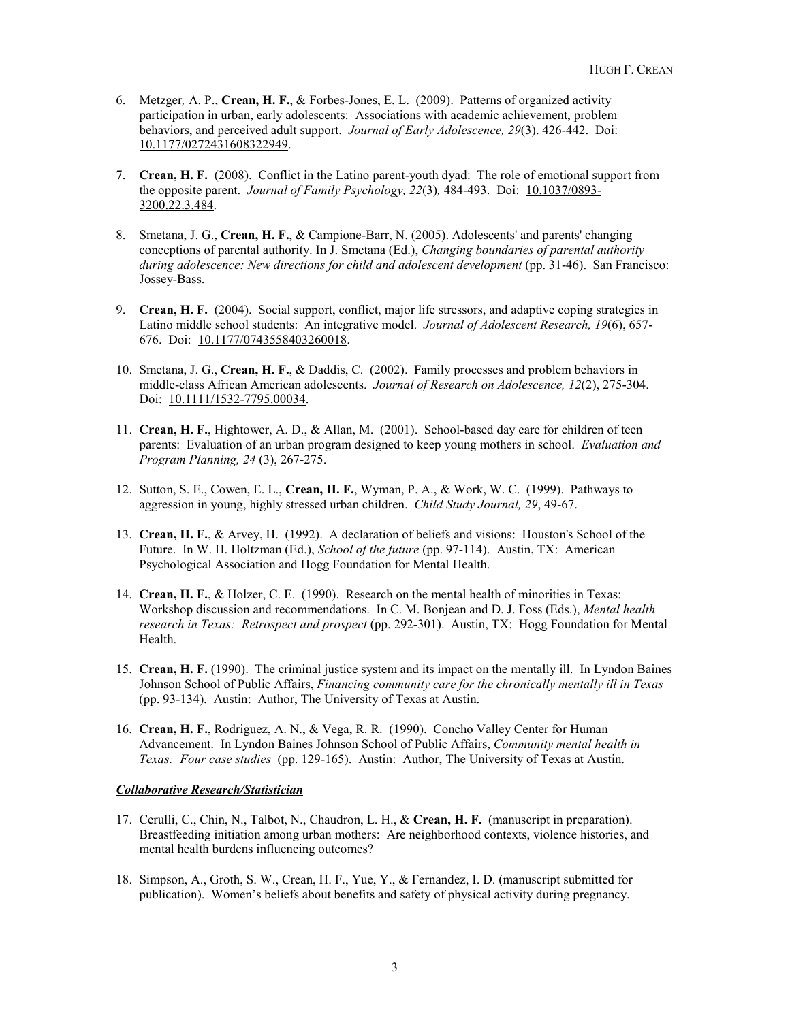- 6. Metzger*,* A. P., **Crean, H. F.**, & Forbes-Jones, E. L. (2009). Patterns of organized activity participation in urban, early adolescents: Associations with academic achievement, problem behaviors, and perceived adult support. *Journal of Early Adolescence, 29*(3). 426-442. Doi: [10.1177/0272431608322949.](http://jea.sagepub.com/content/29/3/426.full.pdf+html)
- 7. **Crean, H. F.** (2008). Conflict in the Latino parent-youth dyad: The role of emotional support from the opposite parent. *Journal of Family Psychology, 22*(3)*,* 484-493. Doi: [10.1037/0893-](http://tq7xh3ee6l.search.serialssolutions.com/find?url_ver=Z39.88-2004&rft_val_fmt=info:ofi/fmt:kev:mtx:journal&rfr_id=info:sid/Ovid:med5&rft.genre=article&rft_id=info:doi/10.1037%2F0893-3200.22.3.484&rft_id=info:pmid/18540777&rft.issn=0893-3200&rft.volume=22&rft.issue=3&rft.spage=484&rft.pages=484-93&rft.date=2008&rft.jtitle=Journal+of+Family+Psychology&rft.atitle=Conflict+in+the+Latino+parent-youth+dyad%3A+the+role+of+emotional+support+from+the+opposite+parent.&rft.aulast=Crean) [3200.22.3.484.](http://tq7xh3ee6l.search.serialssolutions.com/find?url_ver=Z39.88-2004&rft_val_fmt=info:ofi/fmt:kev:mtx:journal&rfr_id=info:sid/Ovid:med5&rft.genre=article&rft_id=info:doi/10.1037%2F0893-3200.22.3.484&rft_id=info:pmid/18540777&rft.issn=0893-3200&rft.volume=22&rft.issue=3&rft.spage=484&rft.pages=484-93&rft.date=2008&rft.jtitle=Journal+of+Family+Psychology&rft.atitle=Conflict+in+the+Latino+parent-youth+dyad%3A+the+role+of+emotional+support+from+the+opposite+parent.&rft.aulast=Crean)
- 8. Smetana, J. G., **Crean, H. F.**, & Campione-Barr, N. (2005). Adolescents' and parents' changing conceptions of parental authority. In J. Smetana (Ed.), *Changing boundaries of parental authority during adolescence: New directions for child and adolescent development* (pp. 31-46). San Francisco: Jossey-Bass.
- 9. **Crean, H. F.** (2004). Social support, conflict, major life stressors, and adaptive coping strategies in Latino middle school students: An integrative model. *Journal of Adolescent Research, 19*(6), 657- 676. Doi: [10.1177/0743558403260018.](http://jar.sagepub.com/content/19/6/657.full.pdf+html)
- 10. Smetana, J. G., **Crean, H. F.**, & Daddis, C. (2002). Family processes and problem behaviors in middle-class African American adolescents. *Journal of Research on Adolescence, 12*(2), 275-304. Doi: [10.1111/1532-7795.00034.](http://tq7xh3ee6l.search.serialssolutions.com/find?url_ver=Z39.88-2004&rft_val_fmt=info:ofi/fmt:kev:mtx:journal&rfr_id=info:sid/Ovid:psyc4&rft.genre=article&rft_id=info:doi/10.1111%2F1532-7795.00034&rft_id=info:pmid/&rft.issn=1050-8392&rft.volume=12&rft.issue=2&rft.spage=275&rft.pages=275-304&rft.date=2002&rft.jtitle=Journal+of+Research+on+Adolescence&rft.atitle=Family+processes+and+problem+behaviors+in+middle-class+African+American+adolescents.&rft.aulast=Smetana)
- 11. **Crean, H. F.**, Hightower, A. D., & Allan, M. (2001). School-based day care for children of teen parents: Evaluation of an urban program designed to keep young mothers in school. *Evaluation and Program Planning, 24* (3), 267-275.
- 12. Sutton, S. E., Cowen, E. L., **Crean, H. F.**, Wyman, P. A., & Work, W. C. (1999). Pathways to aggression in young, highly stressed urban children. *Child Study Journal, 29*, 49-67.
- 13. **Crean, H. F.**, & Arvey, H. (1992). A declaration of beliefs and visions: Houston's School of the Future. In W. H. Holtzman (Ed.), *School of the future* (pp. 97-114). Austin, TX: American Psychological Association and Hogg Foundation for Mental Health.
- 14. **Crean, H. F.**, & Holzer, C. E. (1990). Research on the mental health of minorities in Texas: Workshop discussion and recommendations. In C. M. Bonjean and D. J. Foss (Eds.), *Mental health research in Texas: Retrospect and prospect* (pp. 292-301). Austin, TX: Hogg Foundation for Mental Health.
- 15. **Crean, H. F.** (1990). The criminal justice system and its impact on the mentally ill. In Lyndon Baines Johnson School of Public Affairs, *Financing community care for the chronically mentally ill in Texas* (pp. 93-134). Austin: Author, The University of Texas at Austin.
- 16. **Crean, H. F.**, Rodriguez, A. N., & Vega, R. R. (1990). Concho Valley Center for Human Advancement. In Lyndon Baines Johnson School of Public Affairs, *Community mental health in Texas: Four case studies* (pp. 129-165). Austin: Author, The University of Texas at Austin.

#### *Collaborative Research/Statistician*

- 17. Cerulli, C., Chin, N., Talbot, N., Chaudron, L. H., & **Crean, H. F.** (manuscript in preparation). Breastfeeding initiation among urban mothers: Are neighborhood contexts, violence histories, and mental health burdens influencing outcomes?
- 18. Simpson, A., Groth, S. W., Crean, H. F., Yue, Y., & Fernandez, I. D. (manuscript submitted for publication). Women's beliefs about benefits and safety of physical activity during pregnancy.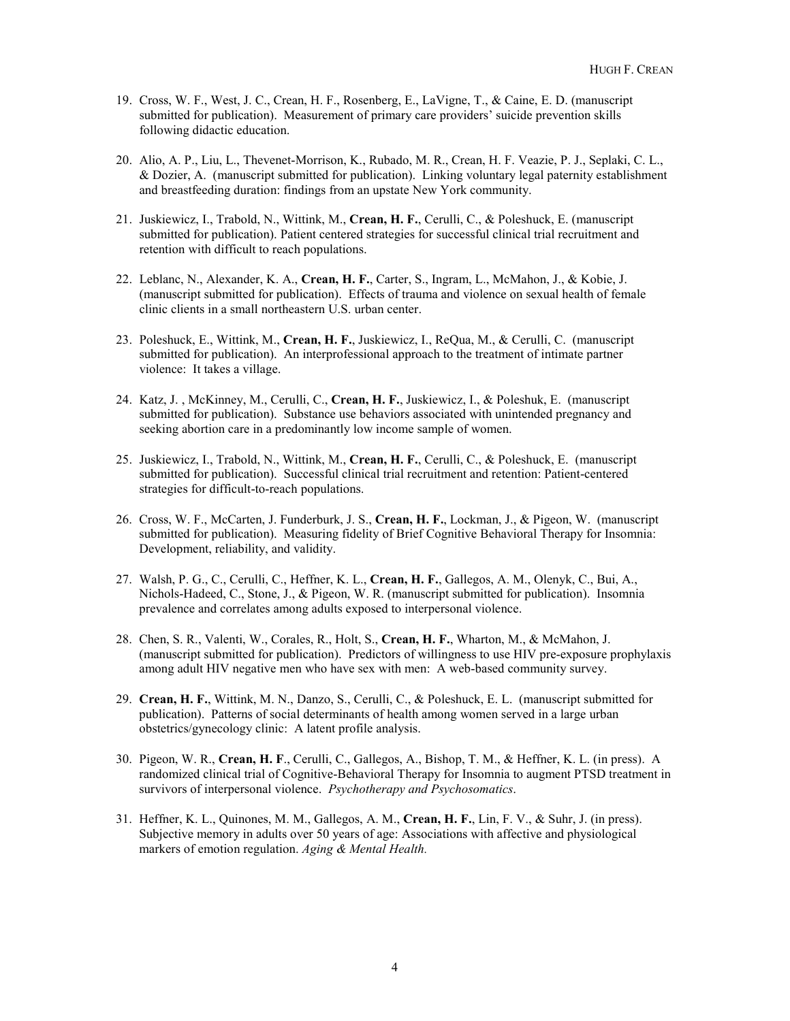- 19. Cross, W. F., West, J. C., Crean, H. F., Rosenberg, E., LaVigne, T., & Caine, E. D. (manuscript submitted for publication). Measurement of primary care providers' suicide prevention skills following didactic education.
- 20. Alio, A. P., Liu, L., Thevenet-Morrison, K., Rubado, M. R., Crean, H. F. Veazie, P. J., Seplaki, C. L., & Dozier, A. (manuscript submitted for publication). Linking voluntary legal paternity establishment and breastfeeding duration: findings from an upstate New York community.
- 21. Juskiewicz, I., Trabold, N., Wittink, M., **Crean, H. F.**, Cerulli, C., & Poleshuck, E. (manuscript submitted for publication). Patient centered strategies for successful clinical trial recruitment and retention with difficult to reach populations.
- 22. Leblanc, N., Alexander, K. A., **Crean, H. F.**, Carter, S., Ingram, L., McMahon, J., & Kobie, J. (manuscript submitted for publication). Effects of trauma and violence on sexual health of female clinic clients in a small northeastern U.S. urban center.
- 23. Poleshuck, E., Wittink, M., **Crean, H. F.**, Juskiewicz, I., ReQua, M., & Cerulli, C. (manuscript submitted for publication). An interprofessional approach to the treatment of intimate partner violence: It takes a village.
- 24. Katz, J. , McKinney, M., Cerulli, C., **Crean, H. F.**, Juskiewicz, I., & Poleshuk, E. (manuscript submitted for publication). Substance use behaviors associated with unintended pregnancy and seeking abortion care in a predominantly low income sample of women.
- 25. Juskiewicz, I., Trabold, N., Wittink, M., **Crean, H. F.**, Cerulli, C., & Poleshuck, E. (manuscript submitted for publication). Successful clinical trial recruitment and retention: Patient-centered strategies for difficult-to-reach populations.
- 26. Cross, W. F., McCarten, J. Funderburk, J. S., **Crean, H. F.**, Lockman, J., & Pigeon, W. (manuscript submitted for publication). Measuring fidelity of Brief Cognitive Behavioral Therapy for Insomnia: Development, reliability, and validity.
- 27. Walsh, P. G., C., Cerulli, C., Heffner, K. L., **Crean, H. F.**, Gallegos, A. M., Olenyk, C., Bui, A., Nichols-Hadeed, C., Stone, J., & Pigeon, W. R. (manuscript submitted for publication). Insomnia prevalence and correlates among adults exposed to interpersonal violence.
- 28. Chen, S. R., Valenti, W., Corales, R., Holt, S., **Crean, H. F.**, Wharton, M., & McMahon, J. (manuscript submitted for publication). Predictors of willingness to use HIV pre-exposure prophylaxis among adult HIV negative men who have sex with men: A web-based community survey.
- 29. **Crean, H. F.**, Wittink, M. N., Danzo, S., Cerulli, C., & Poleshuck, E. L. (manuscript submitted for publication). Patterns of social determinants of health among women served in a large urban obstetrics/gynecology clinic: A latent profile analysis.
- 30. Pigeon, W. R., **Crean, H. F**., Cerulli, C., Gallegos, A., Bishop, T. M., & Heffner, K. L. (in press). A randomized clinical trial of Cognitive-Behavioral Therapy for Insomnia to augment PTSD treatment in survivors of interpersonal violence. *Psychotherapy and Psychosomatics*.
- 31. Heffner, K. L., Quinones, M. M., Gallegos, A. M., **Crean, H. F.**, Lin, F. V., & Suhr, J. (in press). Subjective memory in adults over 50 years of age: Associations with affective and physiological markers of emotion regulation. *Aging & Mental Health.*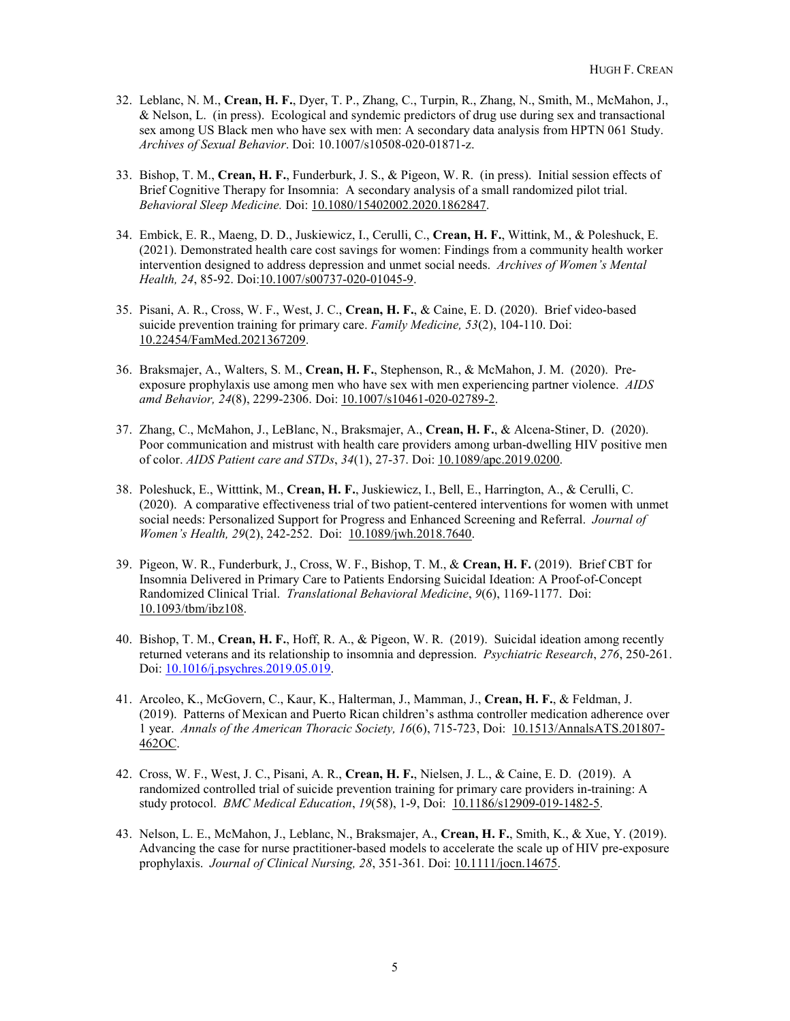- 32. Leblanc, N. M., **Crean, H. F.**, Dyer, T. P., Zhang, C., Turpin, R., Zhang, N., Smith, M., McMahon, J.,  $\&$  Nelson, L. (in press). Ecological and syndemic predictors of drug use during sex and transactional sex among US Black men who have sex with men: A secondary data analysis from HPTN 061 Study. *Archives of Sexual Behavior*. Doi: 10.1007/s10508-020-01871-z.
- 33. Bishop, T. M., **Crean, H. F.**, Funderburk, J. S., & Pigeon, W. R. (in press). Initial session effects of Brief Cognitive Therapy for Insomnia: A secondary analysis of a small randomized pilot trial. *Behavioral Sleep Medicine.* Doi[: 10.1080/15402002.2020.1862847.](https://www.tandfonline.com/doi/abs/10.1080/15402002.2020.1862847?journalCode=hbsm20)
- 34. Embick, E. R., Maeng, D. D., Juskiewicz, I., Cerulli, C., **Crean, H. F.**, Wittink, M., & Poleshuck, E. (2021). Demonstrated health care cost savings for women: Findings from a community health worker intervention designed to address depression and unmet social needs. *Archives of Women's Mental Health, 24*, 85-92. Doi[:10.1007/s00737-020-01045-9.](https://link.springer.com/article/10.1007/s00737-020-01045-9?wt_mc=Internal.Event.1.SEM.ArticleAuthorOnlineFirst#citeas)
- 35. Pisani, A. R., Cross, W. F., West, J. C., **Crean, H. F.**, & Caine, E. D. (2020). Brief video-based suicide prevention training for primary care. *Family Medicine, 53*(2), 104-110. Doi: [10.22454/FamMed.2021367209.](https://journals.stfm.org/familymedicine/2021/february/pisani-2020-0043/)
- 36. Braksmajer, A., Walters, S. M., **Crean, H. F.**, Stephenson, R., & McMahon, J. M. (2020). Preexposure prophylaxis use among men who have sex with men experiencing partner violence. *AIDS amd Behavior, 24*(8), 2299-2306. Doi[: 10.1007/s10461-020-02789-2.](https://link.springer.com/content/pdf/10.1007%2Fs10461-020-02789-2.pdf)
- 37. Zhang, C., McMahon, J., LeBlanc, N., Braksmajer, A., **Crean, H. F.**, & Alcena-Stiner, D. (2020). Poor communication and mistrust with health care providers among urban-dwelling HIV positive men of color. *AIDS Patient care and STDs*, *34*(1), 27-37. Doi[: 10.1089/apc.2019.0200.](https://www.liebertpub.com/doi/10.1089/apc.2019.0200)
- 38. Poleshuck, E., Witttink, M., **Crean, H. F.**, Juskiewicz, I., Bell, E., Harrington, A., & Cerulli, C. (2020). A comparative effectiveness trial of two patient-centered interventions for women with unmet social needs: Personalized Support for Progress and Enhanced Screening and Referral. *Journal of Women's Health, 29*(2), 242-252. Doi: [10.1089/jwh.2018.7640.](https://www.liebertpub.com/doi/pdf/10.1089/jwh.2018.7640)
- 39. Pigeon, W. R., Funderburk, J., Cross, W. F., Bishop, T. M., & **Crean, H. F.** (2019). Brief CBT for Insomnia Delivered in Primary Care to Patients Endorsing Suicidal Ideation: A Proof-of-Concept Randomized Clinical Trial. *Translational Behavioral Medicine*, *9*(6), 1169-1177. Doi: [10.1093/tbm/ibz108.](https://academic.oup.com/tbm/article/9/6/1169/5528205)
- 40. Bishop, T. M., **Crean, H. F.**, Hoff, R. A., & Pigeon, W. R. (2019). Suicidal ideation among recently returned veterans and its relationship to insomnia and depression. *Psychiatric Research*, *276*, 250-261. Doi: [10.1016/j.psychres.2019.05.019.](https://www.sciencedirect.com/science/article/pii/S0165178118321437?via%3Dihub)
- 41. Arcoleo, K., McGovern, C., Kaur, K., Halterman, J., Mamman, J., **Crean, H. F.**, & Feldman, J. (2019). Patterns of Mexican and Puerto Rican children's asthma controller medication adherence over 1 year. *Annals of the American Thoracic Society, 16*(6), 715-723, Doi: [10.1513/AnnalsATS.201807-](https://www.atsjournals.org/doi/full/10.1513/AnnalsATS.201807-462OC?url_ver=Z39.88-2003&rfr_id=ori%3Arid%3Acrossref.org&rfr_dat=cr_pub%3Dpubmed#readcube-epdf) [462OC.](https://www.atsjournals.org/doi/full/10.1513/AnnalsATS.201807-462OC?url_ver=Z39.88-2003&rfr_id=ori%3Arid%3Acrossref.org&rfr_dat=cr_pub%3Dpubmed#readcube-epdf)
- 42. Cross, W. F., West, J. C., Pisani, A. R., **Crean, H. F.**, Nielsen, J. L., & Caine, E. D. (2019). A randomized controlled trial of suicide prevention training for primary care providers in-training: A study protocol. *BMC Medical Education*, *19*(58), 1-9, Doi: [10.1186/s12909-019-1482-5.](https://bmcmededuc.biomedcentral.com/articles/10.1186/s12909-019-1482-5)
- 43. Nelson, L. E., McMahon, J., Leblanc, N., Braksmajer, A., **Crean, H. F.**, Smith, K., & Xue, Y. (2019). Advancing the case for nurse practitioner-based models to accelerate the scale up of HIV pre-exposure prophylaxis. *Journal of Clinical Nursing, 28*, 351-361*.* Doi: [10.1111/jocn.14675.](https://onlinelibrary.wiley.com/doi/full/10.1111/jocn.14675)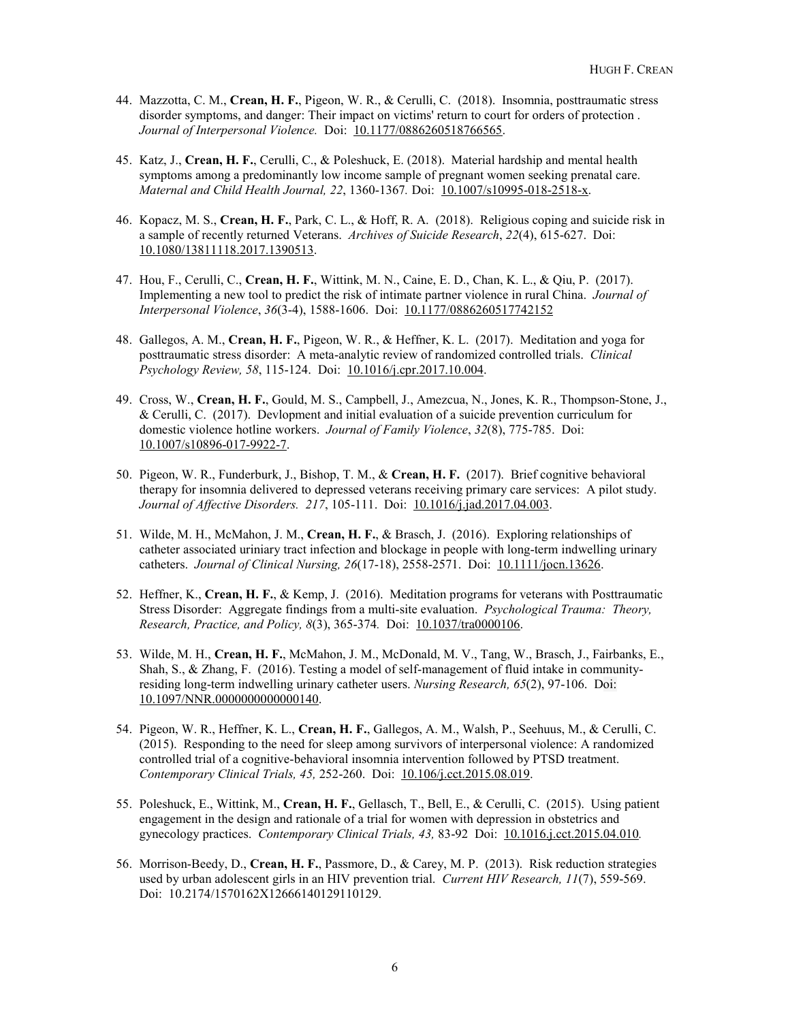- 44. Mazzotta, C. M., **Crean, H. F.**, Pigeon, W. R., & Cerulli, C. (2018). Insomnia, posttraumatic stress disorder symptoms, and danger: Their impact on victims' return to court for orders of protection . *Journal of Interpersonal Violence.* Doi: [10.1177/0886260518766565.](http://journals.sagepub.com/doi/pdf/10.1177/0886260518766565)
- 45. Katz, J., **Crean, H. F.**, Cerulli, C., & Poleshuck, E. (2018). Material hardship and mental health symptoms among a predominantly low income sample of pregnant women seeking prenatal care. *Maternal and Child Health Journal, 22, 1360-1367. Doi:* [10.1007/s10995-018-2518-x.](https://doi.org/10.1007/s10995-018-2518-x)
- 46. Kopacz, M. S., **Crean, H. F.**, Park, C. L., & Hoff, R. A. (2018). Religious coping and suicide risk in a sample of recently returned Veterans. *Archives of Suicide Research*, *22*(4), 615-627. Doi: [10.1080/13811118.2017.1390513.](https://www.tandfonline.com/doi/full/10.1080/13811118.2017.1390513)
- 47. Hou, F., Cerulli, C., **Crean, H. F.**, Wittink, M. N., Caine, E. D., Chan, K. L., & Qiu, P. (2017). Implementing a new tool to predict the risk of intimate partner violence in rural China. *Journal of Interpersonal Violence*, *36*(3-4), 1588-1606. Doi: [10.1177/0886260517742152](http://journals.sagepub.com/doi/full/10.1177/0886260517742152)
- 48. Gallegos, A. M., **Crean, H. F.**, Pigeon, W. R., & Heffner, K. L. (2017). Meditation and yoga for posttraumatic stress disorder: A meta-analytic review of randomized controlled trials. *Clinical Psychology Review, 58*, 115-124. Doi: [10.1016/j.cpr.2017.10.004.](https://doi.org/10.1016/j.cpr.2017.10.004)
- 49. Cross, W., **Crean, H. F.**, Gould, M. S., Campbell, J., Amezcua, N., Jones, K. R., Thompson-Stone, J., & Cerulli, C. (2017). Devlopment and initial evaluation of a suicide prevention curriculum for domestic violence hotline workers. *Journal of Family Violence*, *32*(8), 775-785. Doi: [10.1007/s10896-017-9922-7.](https://link.springer.com/article/10.1007/s10896-017-9922-7)
- 50. Pigeon, W. R., Funderburk, J., Bishop, T. M., & **Crean, H. F.** (2017). Brief cognitive behavioral therapy for insomnia delivered to depressed veterans receiving primary care services: A pilot study. *Journal of Affective Disorders. 217*, 105-111. Doi: [10.1016/j.jad.2017.04.003.](http://www.jad-journal.com/article/S0165-0327(16)31478-1/fulltext)
- 51. Wilde, M. H., McMahon, J. M., **Crean, H. F.**, & Brasch, J. (2016). Exploring relationships of catheter associated uriniary tract infection and blockage in people with long-term indwelling urinary catheters. *Journal of Clinical Nursing, 26*(17-18), 2558-2571. Doi: [10.1111/jocn.13626.](http://onlinelibrary.wiley.com/doi/10.1111/jocn.13626/epdf)
- 52. Heffner, K., **Crean, H. F.**, & Kemp, J. (2016). Meditation programs for veterans with Posttraumatic Stress Disorder: Aggregate findings from a multi-site evaluation. *Psychological Trauma: Theory, Research, Practice, and Policy, 8*(3), 365-374*.* Doi: [10.1037/tra0000106.](http://psycnet.apa.org/doi/10.1037/tra0000106)
- 53. Wilde, M. H., **Crean, H. F.**, McMahon, J. M., McDonald, M. V., Tang, W., Brasch, J., Fairbanks, E., Shah, S., & Zhang, F. (2016). Testing a model of self-management of fluid intake in communityresiding long-term indwelling urinary catheter users. *Nursing Research, 65*(2), 97-106. Doi: [10.1097/NNR.0000000000000140.](https://insights.ovid.com/pubmed?pmid=26938358)
- 54. Pigeon, W. R., Heffner, K. L., **Crean, H. F.**, Gallegos, A. M., Walsh, P., Seehuus, M., & Cerulli, C. (2015). Responding to the need for sleep among survivors of interpersonal violence: A randomized controlled trial of a cognitive-behavioral insomnia intervention followed by PTSD treatment. *Contemporary Clinical Trials, 45,* 252-260.Doi: [10.106/j.cct.2015.08.019.](http://www.contemporaryclinicaltrials.com/article/S1551-7144(15)30076-8/pdf)
- 55. Poleshuck, E., Wittink, M., **Crean, H. F.**, Gellasch, T., Bell, E., & Cerulli, C. (2015). Using patient engagement in the design and rationale of a trial for women with depression in obstetrics and gynecology practices. *Contemporary Clinical Trials, 43,* 83-92 Doi: [10.1016.j.cct.2015.04.010](http://ac.els-cdn.com/S1551714415000816/1-s2.0-S1551714415000816-main.pdf?_tid=9d4d59a8-17be-11e6-84bb-00000aacb35f&acdnat=1463001993_a86c3b43780942d5044448d4bbd6e2e4)*.*
- 56. Morrison-Beedy, D., **Crean, H. F.**, Passmore, D., & Carey, M. P. (2013). Risk reduction strategies used by urban adolescent girls in an HIV prevention trial. *Current HIV Research, 11*(7), 559-569. Doi: [10.2174/1570162X12666140129110129.](http://dx.doi.org/10.2174/1570162X12666140129110129)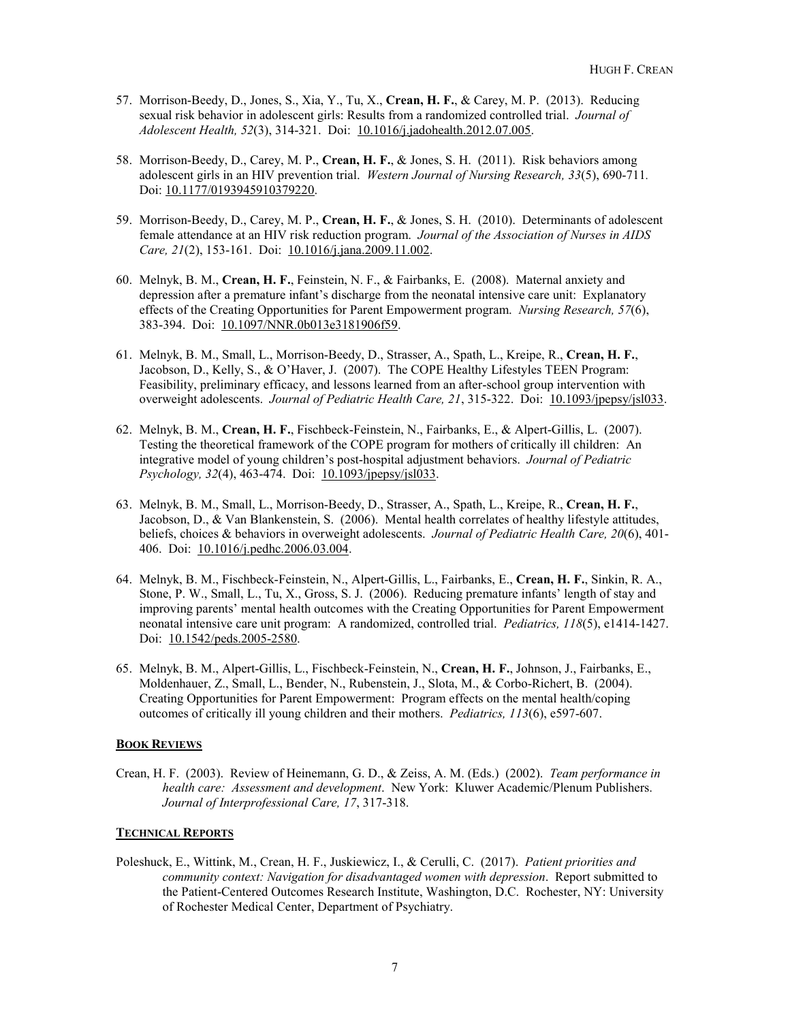- 57. Morrison-Beedy, D., Jones, S., Xia, Y., Tu, X., **Crean, H. F.**, & Carey, M. P. (2013). Reducing sexual risk behavior in adolescent girls: Results from a randomized controlled trial. *Journal of Adolescent Health, 52*(3), 314-321. Doi: [10.1016/j.jadohealth.2012.07.005.](http://ac.els-cdn.com/S1054139X12002844/1-s2.0-S1054139X12002844-main.pdf?_tid=41d3120c-17be-11e6-af4e-00000aacb360&acdnat=1463001839_6faa3ba6bbd5cb752ec0ef0fa9be74eb)
- 58. Morrison-Beedy, D., Carey, M. P., **Crean, H. F.**, & Jones, S. H. (2011). Risk behaviors among adolescent girls in an HIV prevention trial. *Western Journal of Nursing Research, 33*(5), 690-711*.*  Doi: [10.1177/0193945910379220.](http://wjn.sagepub.com/content/33/5/690.full.pdf+html)
- 59. Morrison-Beedy, D., Carey, M. P., **Crean, H. F.**, & Jones, S. H. (2010). Determinants of adolescent female attendance at an HIV risk reduction program. *Journal of the Association of Nurses in AIDS Care, 21*(2), 153-161. Doi: [10.1016/j.jana.2009.11.002.](http://ac.els-cdn.com/S1055329009001976/1-s2.0-S1055329009001976-main.pdf?_tid=a4657af0-17bd-11e6-93a1-00000aacb35d&acdnat=1463001575_576de8b3f08eb2283abbb02ea11be278)
- 60. Melnyk, B. M., **Crean, H. F.**, Feinstein, N. F., & Fairbanks, E. (2008). Maternal anxiety and depression after a premature infant's discharge from the neonatal intensive care unit: Explanatory effects of the Creating Opportunities for Parent Empowerment program. *Nursing Research, 57*(6), 383-394. Doi: [10.1097/NNR.0b013e3181906f59.](http://ovidsp.tx.ovid.com/sp-3.20.0b/ovidweb.cgi?WebLinkFrameset=1&S=DNNGFPPFMHDDMMKONCIKNEOBGICPAA00&returnUrl=ovidweb.cgi%3f%26Titles%3dS.sh.22%257c7%257c10%26FORMAT%3dtitle%26FIELDS%3dTITLES%26S%3dDNNGFPPFMHDDMMKONCIKNEOBGICPAA00&directlink=http%3a%2f%2fovidsp.tx.ovid.com%2fovftpdfs%2fFPDDNCOBNEKOMH00%2ffs046%2fovft%2flive%2fgv023%2f00006199%2f00006199-200811000-00003.pdf&filename=Maternal+Anxiety+and+Depression+After+a+Premature+Infant%27s+Discharge+From+the+Neonatal+Intensive+Care+Unit%3a+Explanatory+Effects+of+the+Creating+Opportunities+for+Parent+Empowerment+Program.&navigation_links=NavLinks.S.sh.22.7&PDFIdLinkField=%2ffs046%2fovft%2flive%2fgv023%2f00006199%2f00006199-200811000-00003&link_from=S.sh.22%7c7&pdf_key=B&pdf_index=S.sh.22&D=mesd)
- 61. Melnyk, B. M., Small, L., Morrison-Beedy, D., Strasser, A., Spath, L., Kreipe, R., **Crean, H. F.**, Jacobson, D., Kelly, S., & O'Haver, J. (2007). The COPE Healthy Lifestyles TEEN Program: Feasibility, preliminary efficacy, and lessons learned from an after-school group intervention with overweight adolescents. *Journal of Pediatric Health Care, 21*, 315-322. Doi: [10.1093/jpepsy/jsl033.](http://ac.els-cdn.com/S0891524507000843/1-s2.0-S0891524507000843-main.pdf?_tid=b592524a-17bc-11e6-9cb5-00000aab0f26&acdnat=1463001174_9ad35ff35bc8a04f35a6a24b00f50d99)
- 62. Melnyk, B. M., **Crean, H. F.**, Fischbeck-Feinstein, N., Fairbanks, E., & Alpert-Gillis, L. (2007). Testing the theoretical framework of the COPE program for mothers of critically ill children: An integrative model of young children's post-hospital adjustment behaviors. *Journal of Pediatric Psychology, 32*(4), 463-474. Doi: 10.1093/jpepsy/jsl033.
- 63. Melnyk, B. M., Small, L., Morrison-Beedy, D., Strasser, A., Spath, L., Kreipe, R., **Crean, H. F.**, Jacobson, D., & Van Blankenstein, S. (2006). Mental health correlates of healthy lifestyle attitudes, beliefs, choices & behaviors in overweight adolescents. *Journal of Pediatric Health Care, 20*(6), 401- 406. Doi: [10.1016/j.pedhc.2006.03.004.](http://ac.els-cdn.com/S0891524506001519/1-s2.0-S0891524506001519-main.pdf?_tid=2de4ddb8-17bc-11e6-aff6-00000aab0f01&acdnat=1463000947_77c5a8a4dd1792b70adfe3ce8d9bae70)
- 64. Melnyk, B. M., Fischbeck-Feinstein, N., Alpert-Gillis, L., Fairbanks, E., **Crean, H. F.**, Sinkin, R. A., Stone, P. W., Small, L., Tu, X., Gross, S. J. (2006). Reducing premature infants' length of stay and improving parents' mental health outcomes with the Creating Opportunities for Parent Empowerment neonatal intensive care unit program: A randomized, controlled trial. *Pediatrics, 118*(5), e1414-1427. Doi: [10.1542/peds.2005-2580.](http://pediatrics.aappublications.org/content/118/5/e1414.full-text.pdf)
- 65. Melnyk, B. M., Alpert-Gillis, L., Fischbeck-Feinstein, N., **Crean, H. F.**, Johnson, J., Fairbanks, E., Moldenhauer, Z., Small, L., Bender, N., Rubenstein, J., Slota, M., & Corbo-Richert, B. (2004). Creating Opportunities for Parent Empowerment: Program effects on the mental health/coping outcomes of critically ill young children and their mothers. *Pediatrics, 113*(6), e597-607.

# **BOOK REVIEWS**

Crean, H. F. (2003). Review of Heinemann, G. D., & Zeiss, A. M. (Eds.) (2002). *Team performance in health care: Assessment and development*. New York: Kluwer Academic/Plenum Publishers. *Journal of Interprofessional Care, 17*, 317-318.

#### **TECHNICAL REPORTS**

Poleshuck, E., Wittink, M., Crean, H. F., Juskiewicz, I., & Cerulli, C. (2017). *Patient priorities and community context: Navigation for disadvantaged women with depression*. Report submitted to the Patient-Centered Outcomes Research Institute, Washington, D.C. Rochester, NY: University of Rochester Medical Center, Department of Psychiatry.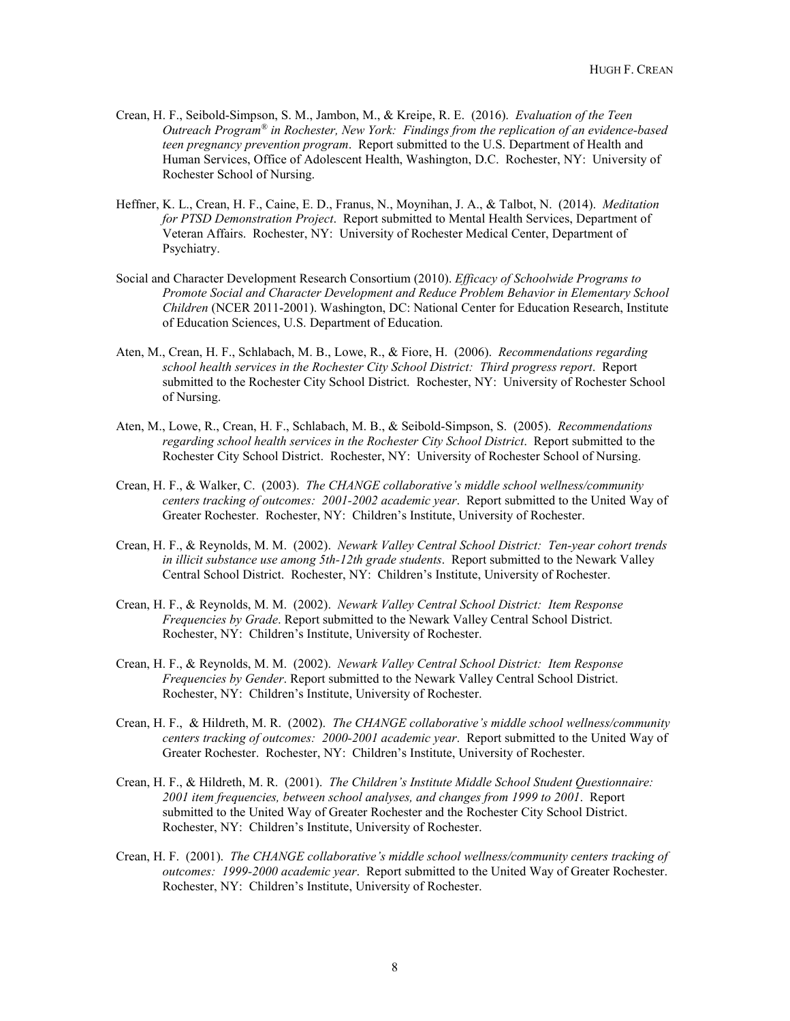- Crean, H. F., Seibold-Simpson, S. M., Jambon, M., & Kreipe, R. E. (2016). *Evaluation of the Teen Outreach Program® in Rochester, New York: Findings from the replication of an evidence-based teen pregnancy prevention program*. Report submitted to the U.S. Department of Health and Human Services, Office of Adolescent Health, Washington, D.C. Rochester, NY: University of Rochester School of Nursing.
- Heffner, K. L., Crean, H. F., Caine, E. D., Franus, N., Moynihan, J. A., & Talbot, N. (2014). *Meditation for PTSD Demonstration Project*. Report submitted to Mental Health Services, Department of Veteran Affairs. Rochester, NY: University of Rochester Medical Center, Department of Psychiatry.
- Social and Character Development Research Consortium (2010). *Efficacy of Schoolwide Programs to Promote Social and Character Development and Reduce Problem Behavior in Elementary School Children* (NCER 2011-2001). Washington, DC: National Center for Education Research, Institute of Education Sciences, U.S. Department of Education.
- Aten, M., Crean, H. F., Schlabach, M. B., Lowe, R., & Fiore, H. (2006). *Recommendations regarding school health services in the Rochester City School District: Third progress report*. Report submitted to the Rochester City School District. Rochester, NY: University of Rochester School of Nursing.
- Aten, M., Lowe, R., Crean, H. F., Schlabach, M. B., & Seibold-Simpson, S. (2005). *Recommendations regarding school health services in the Rochester City School District*. Report submitted to the Rochester City School District. Rochester, NY: University of Rochester School of Nursing.
- Crean, H. F., & Walker, C. (2003). *The CHANGE collaborative's middle school wellness/community centers tracking of outcomes: 2001-2002 academic year*. Report submitted to the United Way of Greater Rochester. Rochester, NY: Children's Institute, University of Rochester.
- Crean, H. F., & Reynolds, M. M. (2002). *Newark Valley Central School District: Ten-year cohort trends in illicit substance use among 5th-12th grade students*. Report submitted to the Newark Valley Central School District. Rochester, NY: Children's Institute, University of Rochester.
- Crean, H. F., & Reynolds, M. M. (2002). *Newark Valley Central School District: Item Response Frequencies by Grade*. Report submitted to the Newark Valley Central School District. Rochester, NY: Children's Institute, University of Rochester.
- Crean, H. F., & Reynolds, M. M. (2002). *Newark Valley Central School District: Item Response Frequencies by Gender*. Report submitted to the Newark Valley Central School District. Rochester, NY: Children's Institute, University of Rochester.
- Crean, H. F., & Hildreth, M. R. (2002). *The CHANGE collaborative's middle school wellness/community centers tracking of outcomes: 2000-2001 academic year*. Report submitted to the United Way of Greater Rochester. Rochester, NY: Children's Institute, University of Rochester.
- Crean, H. F., & Hildreth, M. R. (2001). *The Children's Institute Middle School Student Questionnaire: 2001 item frequencies, between school analyses, and changes from 1999 to 2001*. Report submitted to the United Way of Greater Rochester and the Rochester City School District. Rochester, NY: Children's Institute, University of Rochester.
- Crean, H. F. (2001). *The CHANGE collaborative's middle school wellness/community centers tracking of outcomes: 1999-2000 academic year*. Report submitted to the United Way of Greater Rochester. Rochester, NY: Children's Institute, University of Rochester.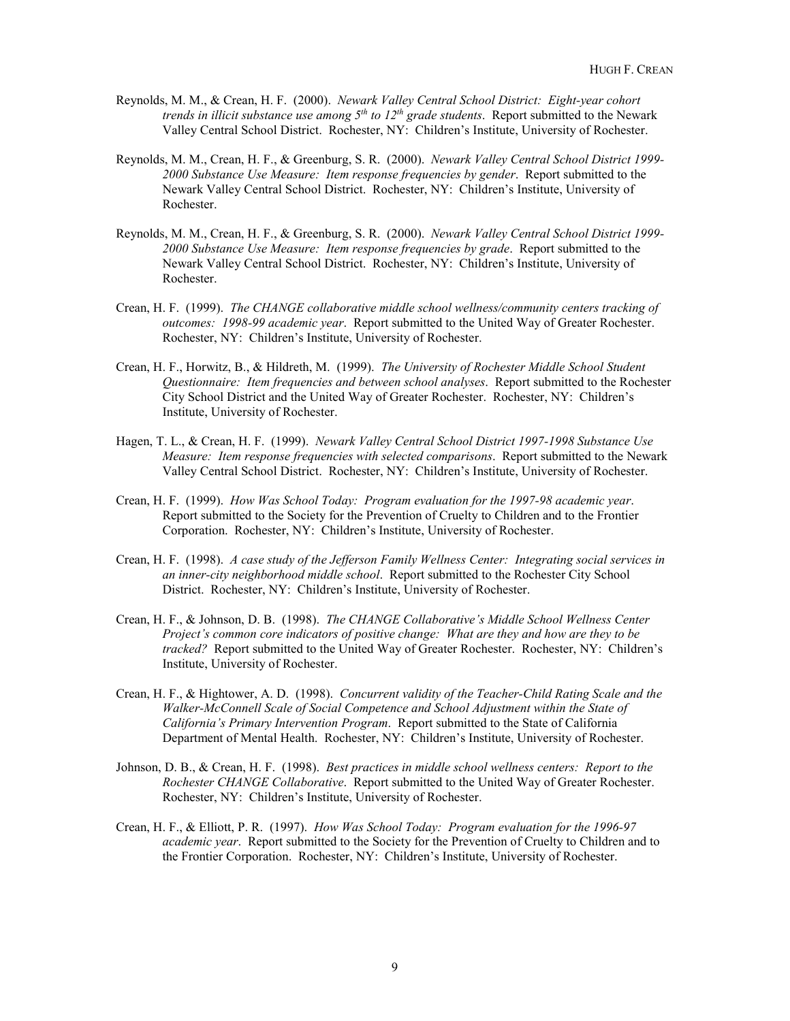- Reynolds, M. M., & Crean, H. F. (2000). *Newark Valley Central School District: Eight-year cohort trends in illicit substance use among 5th to 12th grade students*. Report submitted to the Newark Valley Central School District. Rochester, NY: Children's Institute, University of Rochester.
- Reynolds, M. M., Crean, H. F., & Greenburg, S. R. (2000). *Newark Valley Central School District 1999- 2000 Substance Use Measure: Item response frequencies by gender*. Report submitted to the Newark Valley Central School District. Rochester, NY: Children's Institute, University of Rochester.
- Reynolds, M. M., Crean, H. F., & Greenburg, S. R. (2000). *Newark Valley Central School District 1999- 2000 Substance Use Measure: Item response frequencies by grade*. Report submitted to the Newark Valley Central School District. Rochester, NY: Children's Institute, University of Rochester.
- Crean, H. F. (1999). *The CHANGE collaborative middle school wellness/community centers tracking of outcomes: 1998-99 academic year*. Report submitted to the United Way of Greater Rochester. Rochester, NY: Children's Institute, University of Rochester.
- Crean, H. F., Horwitz, B., & Hildreth, M. (1999). *The University of Rochester Middle School Student Questionnaire: Item frequencies and between school analyses*. Report submitted to the Rochester City School District and the United Way of Greater Rochester. Rochester, NY: Children's Institute, University of Rochester.
- Hagen, T. L., & Crean, H. F. (1999). *Newark Valley Central School District 1997-1998 Substance Use Measure: Item response frequencies with selected comparisons*. Report submitted to the Newark Valley Central School District. Rochester, NY: Children's Institute, University of Rochester.
- Crean, H. F. (1999). *How Was School Today: Program evaluation for the 1997-98 academic year*. Report submitted to the Society for the Prevention of Cruelty to Children and to the Frontier Corporation. Rochester, NY: Children's Institute, University of Rochester.
- Crean, H. F. (1998). *A case study of the Jefferson Family Wellness Center: Integrating social services in an inner-city neighborhood middle school*. Report submitted to the Rochester City School District. Rochester, NY: Children's Institute, University of Rochester.
- Crean, H. F., & Johnson, D. B. (1998). *The CHANGE Collaborative's Middle School Wellness Center Project's common core indicators of positive change: What are they and how are they to be tracked?* Report submitted to the United Way of Greater Rochester. Rochester, NY: Children's Institute, University of Rochester.
- Crean, H. F., & Hightower, A. D. (1998). *Concurrent validity of the Teacher-Child Rating Scale and the Walker-McConnell Scale of Social Competence and School Adjustment within the State of California's Primary Intervention Program*. Report submitted to the State of California Department of Mental Health. Rochester, NY: Children's Institute, University of Rochester.
- Johnson, D. B., & Crean, H. F. (1998). *Best practices in middle school wellness centers: Report to the Rochester CHANGE Collaborative*. Report submitted to the United Way of Greater Rochester. Rochester, NY: Children's Institute, University of Rochester.
- Crean, H. F., & Elliott, P. R. (1997). *How Was School Today: Program evaluation for the 1996-97 academic year*. Report submitted to the Society for the Prevention of Cruelty to Children and to the Frontier Corporation. Rochester, NY: Children's Institute, University of Rochester.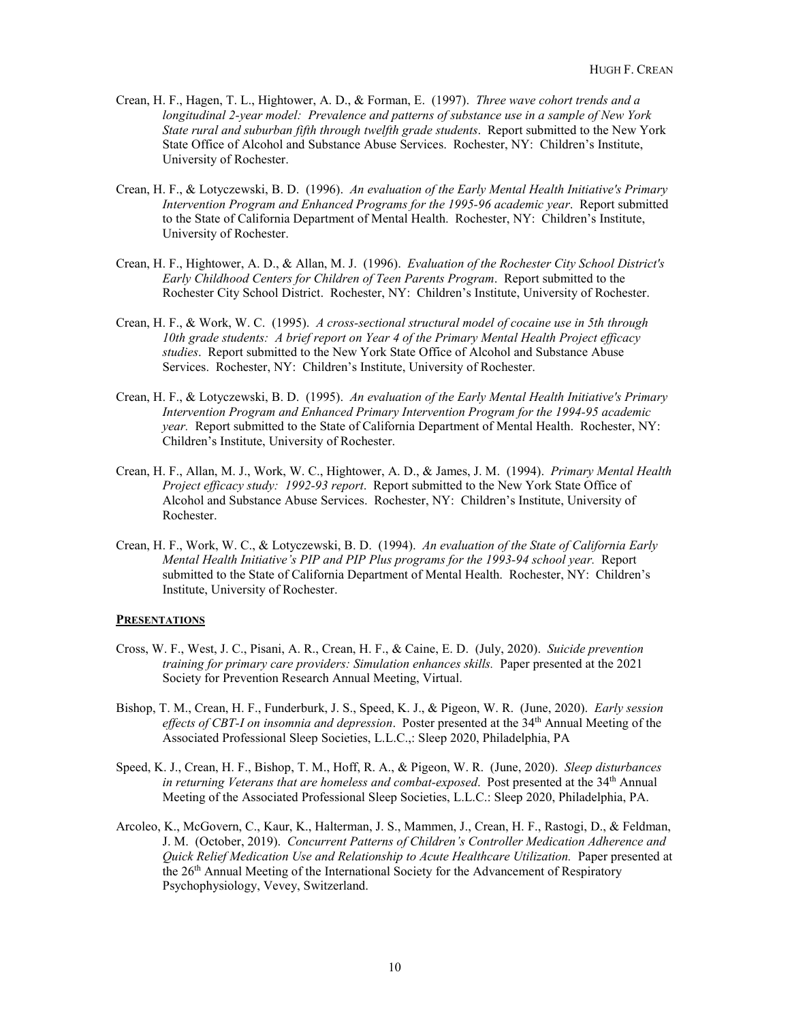- Crean, H. F., Hagen, T. L., Hightower, A. D., & Forman, E. (1997). *Three wave cohort trends and a longitudinal 2-year model: Prevalence and patterns of substance use in a sample of New York State rural and suburban fifth through twelfth grade students*. Report submitted to the New York State Office of Alcohol and Substance Abuse Services. Rochester, NY: Children's Institute, University of Rochester.
- Crean, H. F., & Lotyczewski, B. D. (1996). *An evaluation of the Early Mental Health Initiative's Primary Intervention Program and Enhanced Programs for the 1995-96 academic year*. Report submitted to the State of California Department of Mental Health. Rochester, NY: Children's Institute, University of Rochester.
- Crean, H. F., Hightower, A. D., & Allan, M. J. (1996). *Evaluation of the Rochester City School District's Early Childhood Centers for Children of Teen Parents Program*. Report submitted to the Rochester City School District. Rochester, NY: Children's Institute, University of Rochester.
- Crean, H. F., & Work, W. C. (1995). *A cross-sectional structural model of cocaine use in 5th through 10th grade students: A brief report on Year 4 of the Primary Mental Health Project efficacy studies*. Report submitted to the New York State Office of Alcohol and Substance Abuse Services. Rochester, NY: Children's Institute, University of Rochester.
- Crean, H. F., & Lotyczewski, B. D. (1995). *An evaluation of the Early Mental Health Initiative's Primary Intervention Program and Enhanced Primary Intervention Program for the 1994-95 academic year.* Report submitted to the State of California Department of Mental Health. Rochester, NY: Children's Institute, University of Rochester.
- Crean, H. F., Allan, M. J., Work, W. C., Hightower, A. D., & James, J. M. (1994). *Primary Mental Health Project efficacy study: 1992-93 report*. Report submitted to the New York State Office of Alcohol and Substance Abuse Services. Rochester, NY: Children's Institute, University of Rochester.
- Crean, H. F., Work, W. C., & Lotyczewski, B. D. (1994). *An evaluation of the State of California Early Mental Health Initiative's PIP and PIP Plus programs for the 1993-94 school year.* Report submitted to the State of California Department of Mental Health. Rochester, NY: Children's Institute, University of Rochester.

#### **PRESENTATIONS**

- Cross, W. F., West, J. C., Pisani, A. R., Crean, H. F., & Caine, E. D. (July, 2020). *Suicide prevention training for primary care providers: Simulation enhances skills.* Paper presented at the 2021 Society for Prevention Research Annual Meeting, Virtual.
- Bishop, T. M., Crean, H. F., Funderburk, J. S., Speed, K. J., & Pigeon, W. R. (June, 2020). *Early session*  effects of CBT-I on insomnia and depression. Poster presented at the 34<sup>th</sup> Annual Meeting of the Associated Professional Sleep Societies, L.L.C.,: Sleep 2020, Philadelphia, PA
- Speed, K. J., Crean, H. F., Bishop, T. M., Hoff, R. A., & Pigeon, W. R. (June, 2020). *Sleep disturbances in returning Veterans that are homeless and combat-exposed.* Post presented at the 34<sup>th</sup> Annual Meeting of the Associated Professional Sleep Societies, L.L.C.: Sleep 2020, Philadelphia, PA.
- Arcoleo, K., McGovern, C., Kaur, K., Halterman, J. S., Mammen, J., Crean, H. F., Rastogi, D., & Feldman, J. M. (October, 2019). *Concurrent Patterns of Children's Controller Medication Adherence and Quick Relief Medication Use and Relationship to Acute Healthcare Utilization.* Paper presented at the 26<sup>th</sup> Annual Meeting of the International Society for the Advancement of Respiratory Psychophysiology, Vevey, Switzerland.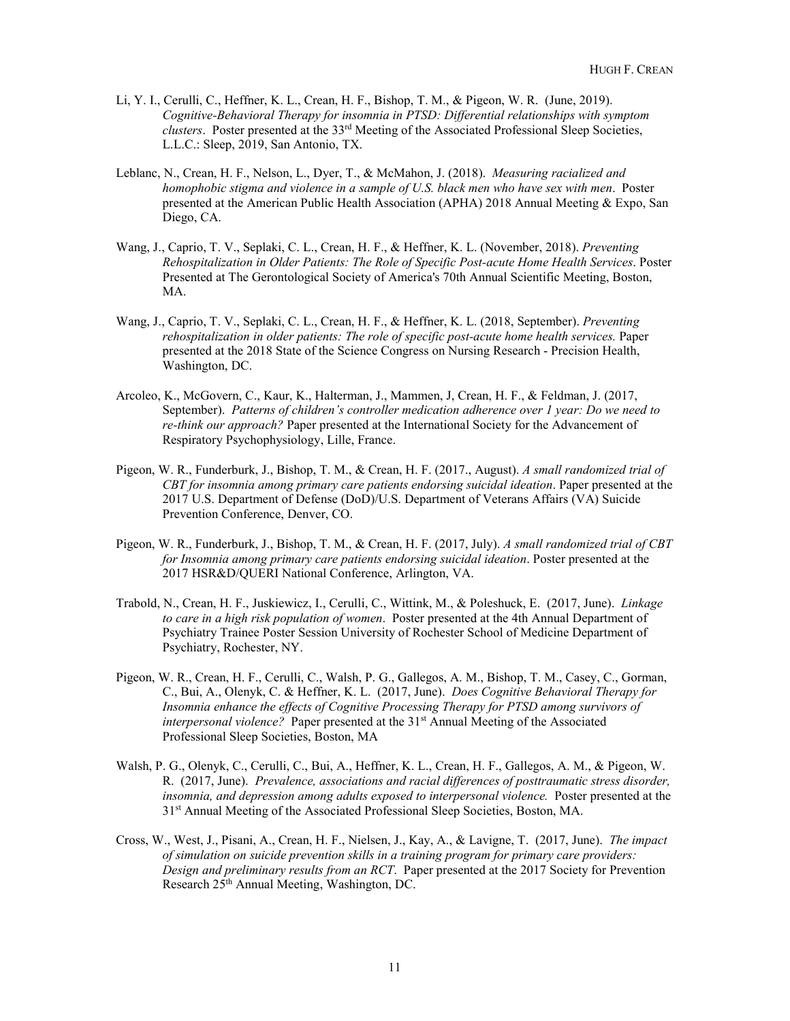- Li, Y. I., Cerulli, C., Heffner, K. L., Crean, H. F., Bishop, T. M., & Pigeon, W. R. (June, 2019). *Cognitive-Behavioral Therapy for insomnia in PTSD: Differential relationships with symptom clusters*. Poster presented at the 33rd Meeting of the Associated Professional Sleep Societies, L.L.C.: Sleep, 2019, San Antonio, TX.
- Leblanc, N., Crean, H. F., Nelson, L., Dyer, T., & McMahon, J. (2018). *Measuring racialized and homophobic stigma and violence in a sample of U.S. black men who have sex with men*. Poster presented at the American Public Health Association (APHA) 2018 Annual Meeting & Expo, San Diego, CA.
- Wang, J., Caprio, T. V., Seplaki, C. L., Crean, H. F., & Heffner, K. L. (November, 2018). *Preventing Rehospitalization in Older Patients: The Role of Specific Post-acute Home Health Services*. Poster Presented at The Gerontological Society of America's 70th Annual Scientific Meeting, Boston, MA.
- Wang, J., Caprio, T. V., Seplaki, C. L., Crean, H. F., & Heffner, K. L. (2018, September). *Preventing rehospitalization in older patients: The role of specific post-acute home health services.* Paper presented at the 2018 State of the Science Congress on Nursing Research - Precision Health, Washington, DC.
- Arcoleo, K., McGovern, C., Kaur, K., Halterman, J., Mammen, J, Crean, H. F., & Feldman, J. (2017, September).*Patterns of children's controller medication adherence over 1 year: Do we need to re-think our approach?* Paper presented at the International Society for the Advancement of Respiratory Psychophysiology, Lille, France.
- Pigeon, W. R., Funderburk, J., Bishop, T. M., & Crean, H. F. (2017., August). *A small randomized trial of CBT for insomnia among primary care patients endorsing suicidal ideation*. Paper presented at the 2017 U.S. Department of Defense (DoD)/U.S. Department of Veterans Affairs (VA) Suicide Prevention Conference, Denver, CO.
- Pigeon, W. R., Funderburk, J., Bishop, T. M., & Crean, H. F. (2017, July). *A small randomized trial of CBT for Insomnia among primary care patients endorsing suicidal ideation*. Poster presented at the 2017 HSR&D/QUERI National Conference, Arlington, VA.
- Trabold, N., Crean, H. F., Juskiewicz, I., Cerulli, C., Wittink, M., & Poleshuck, E. (2017, June). *Linkage to care in a high risk population of women*. Poster presented at the 4th Annual Department of Psychiatry Trainee Poster Session University of Rochester School of Medicine Department of Psychiatry, Rochester, NY.
- Pigeon, W. R., Crean, H. F., Cerulli, C., Walsh, P. G., Gallegos, A. M., Bishop, T. M., Casey, C., Gorman, C., Bui, A., Olenyk, C. & Heffner, K. L. (2017, June). *Does Cognitive Behavioral Therapy for Insomnia enhance the effects of Cognitive Processing Therapy for PTSD among survivors of interpersonal violence?* Paper presented at the 31st Annual Meeting of the Associated Professional Sleep Societies, Boston, MA
- Walsh, P. G., Olenyk, C., Cerulli, C., Bui, A., Heffner, K. L., Crean, H. F., Gallegos, A. M., & Pigeon, W. R. (2017, June). *Prevalence, associations and racial differences of posttraumatic stress disorder, insomnia, and depression among adults exposed to interpersonal violence.* Poster presented at the 31st Annual Meeting of the Associated Professional Sleep Societies, Boston, MA.
- Cross, W., West, J., Pisani, A., Crean, H. F., Nielsen, J., Kay, A., & Lavigne, T. (2017, June). *The impact of simulation on suicide prevention skills in a training program for primary care providers: Design and preliminary results from an RCT*. Paper presented at the 2017 Society for Prevention Research 25th Annual Meeting, Washington, DC.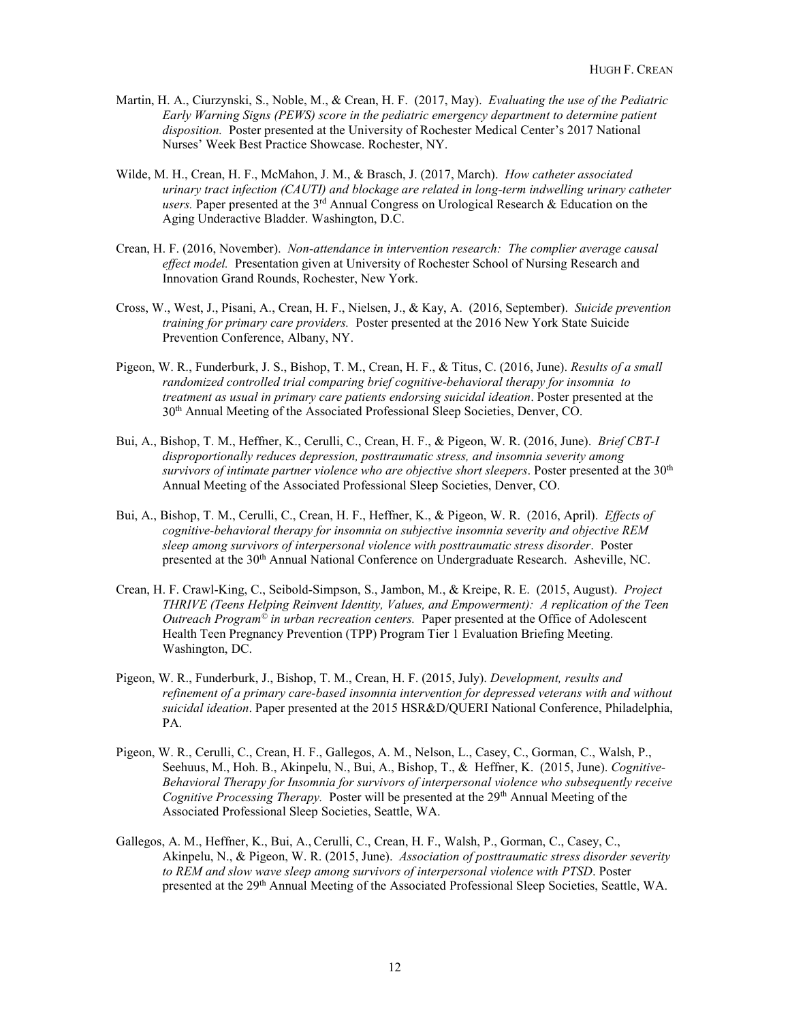- Martin, H. A., Ciurzynski, S., Noble, M., & Crean, H. F. (2017, May). *Evaluating the use of the Pediatric Early Warning Signs (PEWS) score in the pediatric emergency department to determine patient disposition.* Poster presented at the University of Rochester Medical Center's 2017 National Nurses' Week Best Practice Showcase. Rochester, NY.
- Wilde, M. H., Crean, H. F., McMahon, J. M., & Brasch, J. (2017, March). *How catheter associated urinary tract infection (CAUTI) and blockage are related in long-term indwelling urinary catheter users.* Paper presented at the 3rd Annual Congress on Urological Research & Education on the Aging Underactive Bladder. Washington, D.C.
- Crean, H. F. (2016, November). *Non-attendance in intervention research: The complier average causal effect model.* Presentation given at University of Rochester School of Nursing Research and Innovation Grand Rounds, Rochester, New York.
- Cross, W., West, J., Pisani, A., Crean, H. F., Nielsen, J., & Kay, A. (2016, September). *Suicide prevention training for primary care providers.* Poster presented at the 2016 New York State Suicide Prevention Conference, Albany, NY.
- Pigeon, W. R., Funderburk, J. S., Bishop, T. M., Crean, H. F., & Titus, C. (2016, June). *Results of a small randomized controlled trial comparing brief cognitive-behavioral therapy for insomnia to treatment as usual in primary care patients endorsing suicidal ideation*. Poster presented at the 30th Annual Meeting of the Associated Professional Sleep Societies, Denver, CO.
- Bui, A., Bishop, T. M., Heffner, K., Cerulli, C., Crean, H. F., & Pigeon, W. R. (2016, June). *Brief CBT-I disproportionally reduces depression, posttraumatic stress, and insomnia severity among survivors of intimate partner violence who are objective short sleepers*. Poster presented at the 30<sup>th</sup> Annual Meeting of the Associated Professional Sleep Societies, Denver, CO.
- Bui, A., Bishop, T. M., Cerulli, C., Crean, H. F., Heffner, K., & Pigeon, W. R. (2016, April). *Effects of cognitive-behavioral therapy for insomnia on subjective insomnia severity and objective REM sleep among survivors of interpersonal violence with posttraumatic stress disorder*. Poster presented at the 30th Annual National Conference on Undergraduate Research. Asheville, NC.
- Crean, H. F. Crawl-King, C., Seibold-Simpson, S., Jambon, M., & Kreipe, R. E. (2015, August). *Project THRIVE (Teens Helping Reinvent Identity, Values, and Empowerment): A replication of the Teen Outreach Program© in urban recreation centers.* Paper presented at the Office of Adolescent Health Teen Pregnancy Prevention (TPP) Program Tier 1 Evaluation Briefing Meeting. Washington, DC.
- Pigeon, W. R., Funderburk, J., Bishop, T. M., Crean, H. F. (2015, July). *Development, results and refinement of a primary care-based insomnia intervention for depressed veterans with and without suicidal ideation*. Paper presented at the 2015 HSR&D/QUERI National Conference, Philadelphia, PA.
- Pigeon, W. R., Cerulli, C., Crean, H. F., Gallegos, A. M., Nelson, L., Casey, C., Gorman, C., Walsh, P., Seehuus, M., Hoh. B., Akinpelu, N., Bui, A., Bishop, T., & Heffner, K. (2015, June). *Cognitive-Behavioral Therapy for Insomnia for survivors of interpersonal violence who subsequently receive Cognitive Processing Therapy.* Poster will be presented at the 29<sup>th</sup> Annual Meeting of the Associated Professional Sleep Societies, Seattle, WA.
- Gallegos, A. M., Heffner, K., Bui, A., Cerulli, C., Crean, H. F., Walsh, P., Gorman, C., Casey, C., Akinpelu, N., & Pigeon, W. R. (2015, June). *Association of posttraumatic stress disorder severity to REM and slow wave sleep among survivors of interpersonal violence with PTSD*. Poster presented at the 29th Annual Meeting of the Associated Professional Sleep Societies, Seattle, WA.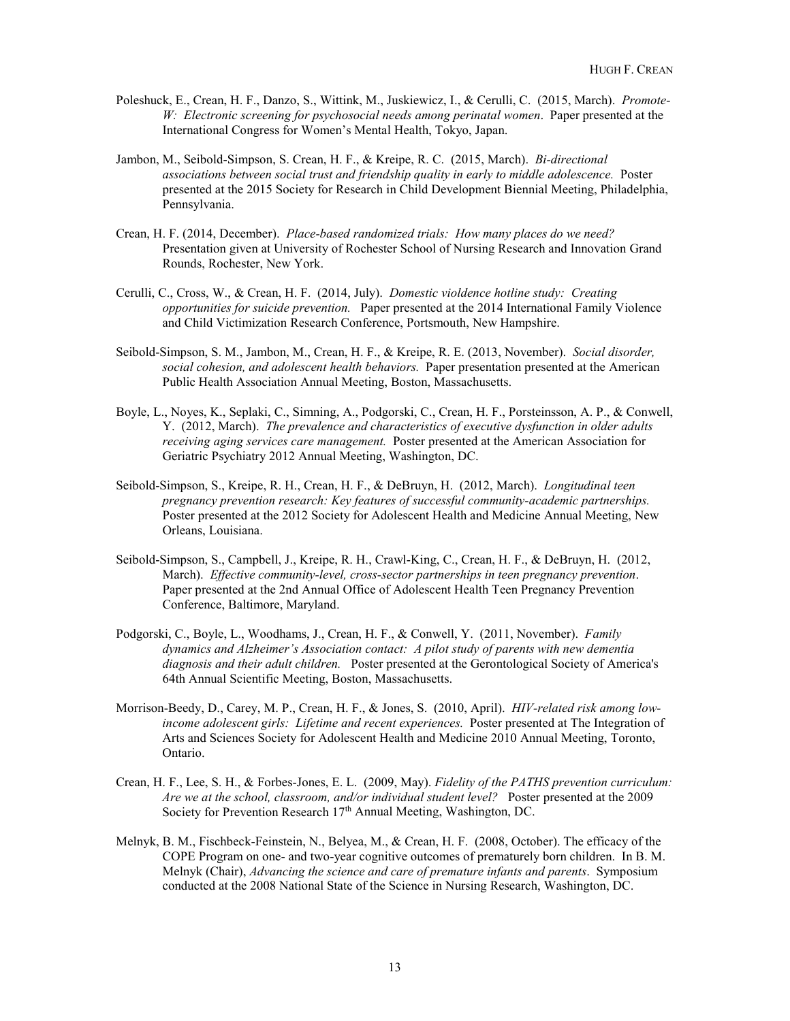- Poleshuck, E., Crean, H. F., Danzo, S., Wittink, M., Juskiewicz, I., & Cerulli, C. (2015, March). *Promote-W: Electronic screening for psychosocial needs among perinatal women*. Paper presented at the International Congress for Women's Mental Health, Tokyo, Japan.
- Jambon, M., Seibold-Simpson, S. Crean, H. F., & Kreipe, R. C. (2015, March). *Bi-directional associations between social trust and friendship quality in early to middle adolescence.* Poster presented at the 2015 Society for Research in Child Development Biennial Meeting, Philadelphia, Pennsylvania.
- Crean, H. F. (2014, December). *Place-based randomized trials: How many places do we need?* Presentation given at University of Rochester School of Nursing Research and Innovation Grand Rounds, Rochester, New York.
- Cerulli, C., Cross, W., & Crean, H. F. (2014, July). *Domestic violdence hotline study: Creating opportunities for suicide prevention.* Paper presented at the 2014 International Family Violence and Child Victimization Research Conference, Portsmouth, New Hampshire.
- Seibold-Simpson, S. M., Jambon, M., Crean, H. F., & Kreipe, R. E. (2013, November). *Social disorder, social cohesion, and adolescent health behaviors.* Paper presentation presented at the American Public Health Association Annual Meeting, Boston, Massachusetts.
- Boyle, L., Noyes, K., Seplaki, C., Simning, A., Podgorski, C., Crean, H. F., Porsteinsson, A. P., & Conwell, Y. (2012, March). *The prevalence and characteristics of executive dysfunction in older adults receiving aging services care management.* Poster presented at the American Association for Geriatric Psychiatry 2012 Annual Meeting, Washington, DC.
- Seibold-Simpson, S., Kreipe, R. H., Crean, H. F., & DeBruyn, H. (2012, March). *Longitudinal teen pregnancy prevention research: Key features of successful community-academic partnerships.*  Poster presented at the 2012 Society for Adolescent Health and Medicine Annual Meeting, New Orleans, Louisiana.
- Seibold-Simpson, S., Campbell, J., Kreipe, R. H., Crawl-King, C., Crean, H. F., & DeBruyn, H. (2012, March). *Effective community-level, cross-sector partnerships in teen pregnancy prevention*. Paper presented at the 2nd Annual Office of Adolescent Health Teen Pregnancy Prevention Conference, Baltimore, Maryland.
- Podgorski, C., Boyle, L., Woodhams, J., Crean, H. F., & Conwell, Y. (2011, November). *Family dynamics and Alzheimer's Association contact: A pilot study of parents with new dementia diagnosis and their adult children.* Poster presented at the Gerontological Society of America's 64th Annual Scientific Meeting, Boston, Massachusetts.
- Morrison-Beedy, D., Carey, M. P., Crean, H. F., & Jones, S. (2010, April). *HIV-related risk among lowincome adolescent girls: Lifetime and recent experiences.* Poster presented at The Integration of Arts and Sciences Society for Adolescent Health and Medicine 2010 Annual Meeting, Toronto, Ontario.
- Crean, H. F., Lee, S. H., & Forbes-Jones, E. L. (2009, May). *Fidelity of the PATHS prevention curriculum: Are we at the school, classroom, and/or individual student level?* Poster presented at the 2009 Society for Prevention Research 17<sup>th</sup> Annual Meeting, Washington, DC.
- Melnyk, B. M., Fischbeck-Feinstein, N., Belyea, M., & Crean, H. F. (2008, October). The efficacy of the COPE Program on one- and two-year cognitive outcomes of prematurely born children. In B. M. Melnyk (Chair), *Advancing the science and care of premature infants and parents*. Symposium conducted at the 2008 National State of the Science in Nursing Research, Washington, DC.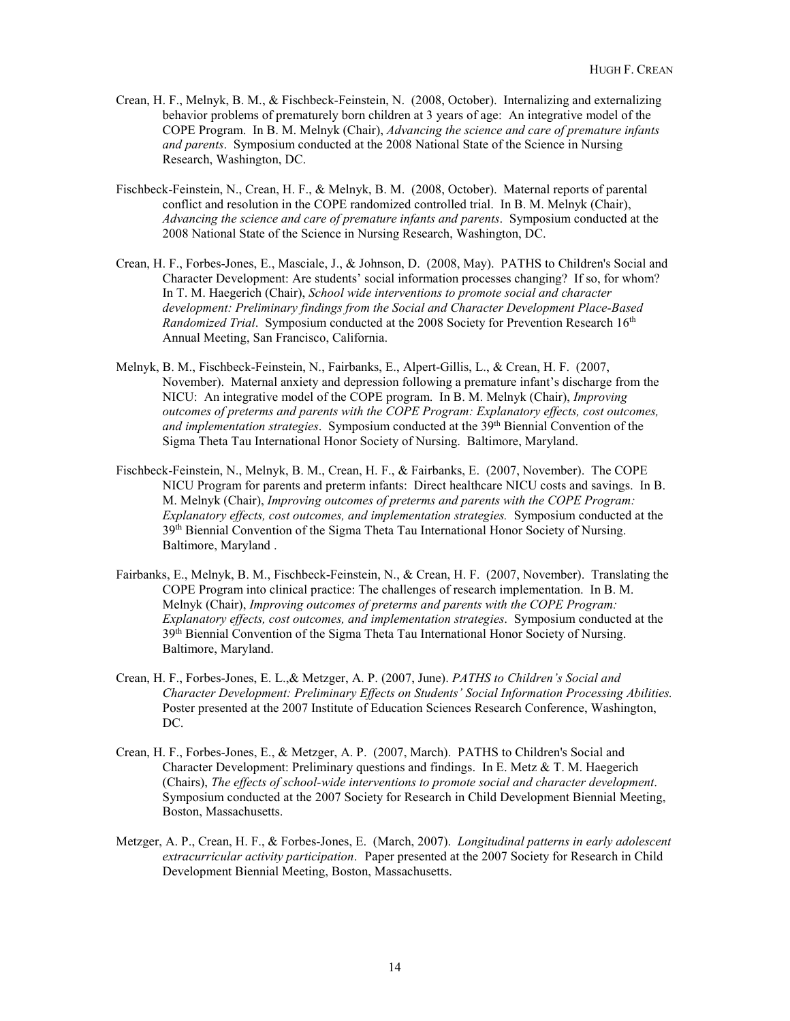- Crean, H. F., Melnyk, B. M., & Fischbeck-Feinstein, N. (2008, October). Internalizing and externalizing behavior problems of prematurely born children at 3 years of age: An integrative model of the COPE Program. In B. M. Melnyk (Chair), *Advancing the science and care of premature infants and parents*. Symposium conducted at the 2008 National State of the Science in Nursing Research, Washington, DC.
- Fischbeck-Feinstein, N., Crean, H. F., & Melnyk, B. M. (2008, October). Maternal reports of parental conflict and resolution in the COPE randomized controlled trial. In B. M. Melnyk (Chair), *Advancing the science and care of premature infants and parents*. Symposium conducted at the 2008 National State of the Science in Nursing Research, Washington, DC.
- Crean, H. F., Forbes-Jones, E., Masciale, J., & Johnson, D. (2008, May). PATHS to Children's Social and Character Development: Are students' social information processes changing? If so, for whom? In T. M. Haegerich (Chair), *School wide interventions to promote social and character development: Preliminary findings from the Social and Character Development Place-Based Randomized Trial.* Symposium conducted at the 2008 Society for Prevention Research 16<sup>th</sup> Annual Meeting, San Francisco, California.
- Melnyk, B. M., Fischbeck-Feinstein, N., Fairbanks, E., Alpert-Gillis, L., & Crean, H. F. (2007, November). Maternal anxiety and depression following a premature infant's discharge from the NICU: An integrative model of the COPE program. In B. M. Melnyk (Chair), *Improving outcomes of preterms and parents with the COPE Program: Explanatory effects, cost outcomes,*  and implementation strategies. Symposium conducted at the 39<sup>th</sup> Biennial Convention of the Sigma Theta Tau International Honor Society of Nursing. Baltimore, Maryland.
- Fischbeck-Feinstein, N., Melnyk, B. M., Crean, H. F., & Fairbanks, E. (2007, November). The COPE NICU Program for parents and preterm infants: Direct healthcare NICU costs and savings. In B. M. Melnyk (Chair), *Improving outcomes of preterms and parents with the COPE Program: Explanatory effects, cost outcomes, and implementation strategies.* Symposium conducted at the 39<sup>th</sup> Biennial Convention of the Sigma Theta Tau International Honor Society of Nursing. Baltimore, Maryland .
- Fairbanks, E., Melnyk, B. M., Fischbeck-Feinstein, N., & Crean, H. F. (2007, November). Translating the COPE Program into clinical practice: The challenges of research implementation. In B. M. Melnyk (Chair), *Improving outcomes of preterms and parents with the COPE Program: Explanatory effects, cost outcomes, and implementation strategies*. Symposium conducted at the 39th Biennial Convention of the Sigma Theta Tau International Honor Society of Nursing. Baltimore, Maryland.
- Crean, H. F., Forbes-Jones, E. L.,& Metzger, A. P. (2007, June). *PATHS to Children's Social and Character Development: Preliminary Effects on Students' Social Information Processing Abilities.* Poster presented at the 2007 Institute of Education Sciences Research Conference, Washington, DC.
- Crean, H. F., Forbes-Jones, E., & Metzger, A. P. (2007, March). PATHS to Children's Social and Character Development: Preliminary questions and findings. In E. Metz & T. M. Haegerich (Chairs), *The effects of school-wide interventions to promote social and character development*. Symposium conducted at the 2007 Society for Research in Child Development Biennial Meeting, Boston, Massachusetts.
- Metzger, A. P., Crean, H. F., & Forbes-Jones, E. (March, 2007). *Longitudinal patterns in early adolescent extracurricular activity participation*. Paper presented at the 2007 Society for Research in Child Development Biennial Meeting, Boston, Massachusetts.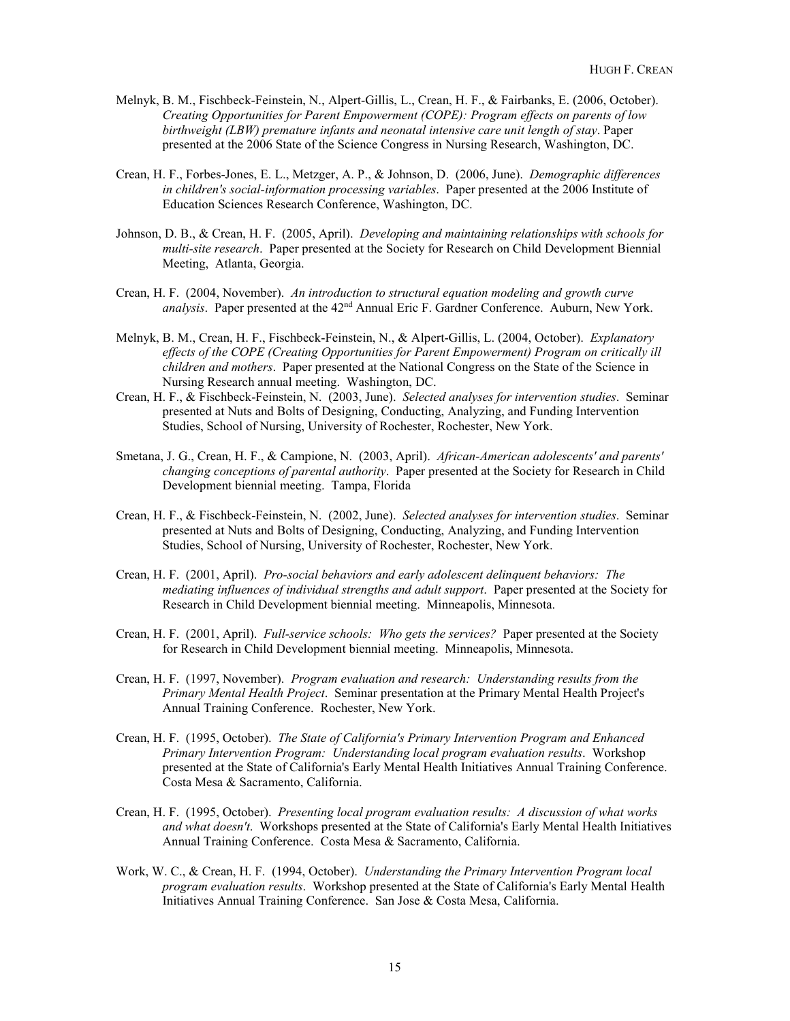- Melnyk, B. M., Fischbeck-Feinstein, N., Alpert-Gillis, L., Crean, H. F., & Fairbanks, E. (2006, October). *Creating Opportunities for Parent Empowerment (COPE): Program effects on parents of low birthweight (LBW) premature infants and neonatal intensive care unit length of stay*. Paper presented at the 2006 State of the Science Congress in Nursing Research, Washington, DC.
- Crean, H. F., Forbes-Jones, E. L., Metzger, A. P., & Johnson, D. (2006, June). *Demographic differences in children's social-information processing variables*. Paper presented at the 2006 Institute of Education Sciences Research Conference, Washington, DC.
- Johnson, D. B., & Crean, H. F. (2005, April). *Developing and maintaining relationships with schools for multi-site research*. Paper presented at the Society for Research on Child Development Biennial Meeting, Atlanta, Georgia.
- Crean, H. F. (2004, November). *An introduction to structural equation modeling and growth curve*  analysis. Paper presented at the 42<sup>nd</sup> Annual Eric F. Gardner Conference. Auburn, New York.
- Melnyk, B. M., Crean, H. F., Fischbeck-Feinstein, N., & Alpert-Gillis, L. (2004, October). *Explanatory effects of the COPE (Creating Opportunities for Parent Empowerment) Program on critically ill children and mothers*. Paper presented at the National Congress on the State of the Science in Nursing Research annual meeting. Washington, DC.
- Crean, H. F., & Fischbeck-Feinstein, N. (2003, June). *Selected analyses for intervention studies*. Seminar presented at Nuts and Bolts of Designing, Conducting, Analyzing, and Funding Intervention Studies, School of Nursing, University of Rochester, Rochester, New York.
- Smetana, J. G., Crean, H. F., & Campione, N. (2003, April). *African-American adolescents' and parents' changing conceptions of parental authority*. Paper presented at the Society for Research in Child Development biennial meeting. Tampa, Florida
- Crean, H. F., & Fischbeck-Feinstein, N. (2002, June). *Selected analyses for intervention studies*. Seminar presented at Nuts and Bolts of Designing, Conducting, Analyzing, and Funding Intervention Studies, School of Nursing, University of Rochester, Rochester, New York.
- Crean, H. F. (2001, April). *Pro-social behaviors and early adolescent delinquent behaviors: The mediating influences of individual strengths and adult support*. Paper presented at the Society for Research in Child Development biennial meeting. Minneapolis, Minnesota.
- Crean, H. F. (2001, April). *Full-service schools: Who gets the services?* Paper presented at the Society for Research in Child Development biennial meeting. Minneapolis, Minnesota.
- Crean, H. F. (1997, November). *Program evaluation and research: Understanding results from the Primary Mental Health Project*. Seminar presentation at the Primary Mental Health Project's Annual Training Conference. Rochester, New York.
- Crean, H. F. (1995, October). *The State of California's Primary Intervention Program and Enhanced Primary Intervention Program: Understanding local program evaluation results*. Workshop presented at the State of California's Early Mental Health Initiatives Annual Training Conference. Costa Mesa & Sacramento, California.
- Crean, H. F. (1995, October). *Presenting local program evaluation results: A discussion of what works and what doesn't*. Workshops presented at the State of California's Early Mental Health Initiatives Annual Training Conference. Costa Mesa & Sacramento, California.
- Work, W. C., & Crean, H. F. (1994, October). *Understanding the Primary Intervention Program local program evaluation results*. Workshop presented at the State of California's Early Mental Health Initiatives Annual Training Conference. San Jose & Costa Mesa, California.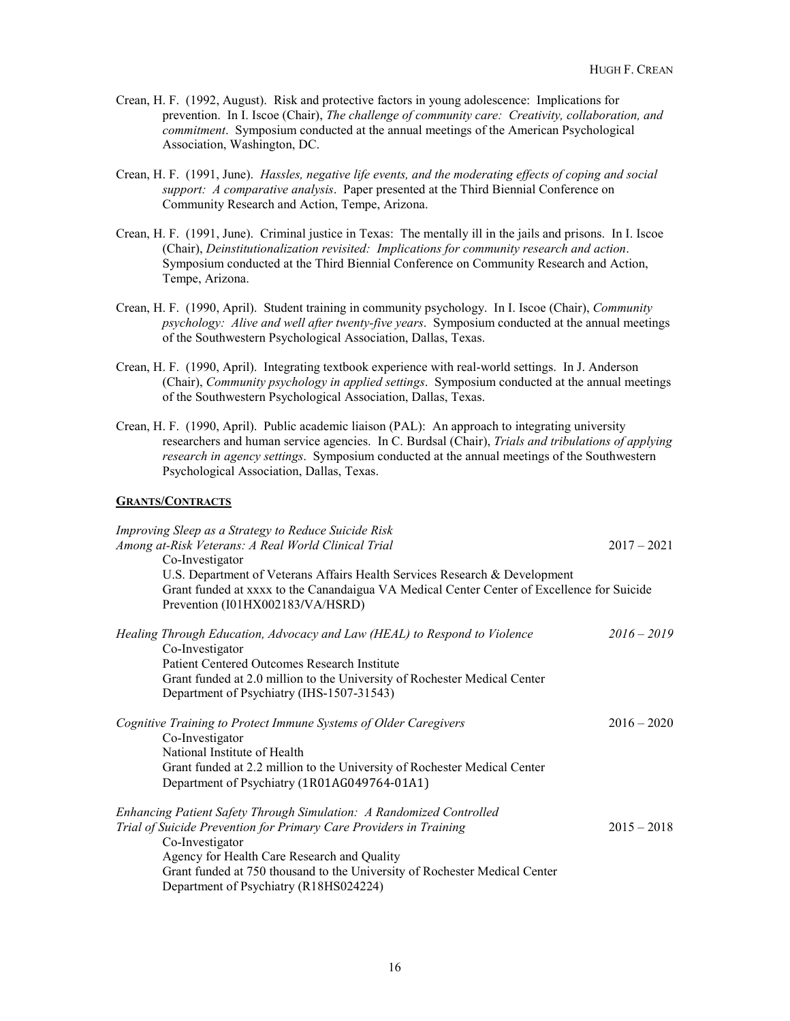- Crean, H. F. (1992, August). Risk and protective factors in young adolescence: Implications for prevention. In I. Iscoe (Chair), *The challenge of community care: Creativity, collaboration, and commitment*. Symposium conducted at the annual meetings of the American Psychological Association, Washington, DC.
- Crean, H. F. (1991, June). *Hassles, negative life events, and the moderating effects of coping and social support: A comparative analysis*. Paper presented at the Third Biennial Conference on Community Research and Action, Tempe, Arizona.
- Crean, H. F. (1991, June). Criminal justice in Texas: The mentally ill in the jails and prisons. In I. Iscoe (Chair), *Deinstitutionalization revisited: Implications for community research and action*. Symposium conducted at the Third Biennial Conference on Community Research and Action, Tempe, Arizona.
- Crean, H. F. (1990, April). Student training in community psychology. In I. Iscoe (Chair), *Community psychology: Alive and well after twenty-five years*. Symposium conducted at the annual meetings of the Southwestern Psychological Association, Dallas, Texas.
- Crean, H. F. (1990, April). Integrating textbook experience with real-world settings. In J. Anderson (Chair), *Community psychology in applied settings*. Symposium conducted at the annual meetings of the Southwestern Psychological Association, Dallas, Texas.
- Crean, H. F. (1990, April). Public academic liaison (PAL): An approach to integrating university researchers and human service agencies. In C. Burdsal (Chair), *Trials and tribulations of applying research in agency settings*. Symposium conducted at the annual meetings of the Southwestern Psychological Association, Dallas, Texas.

#### **GRANTS/CONTRACTS**

| Improving Sleep as a Strategy to Reduce Suicide Risk<br>Among at-Risk Veterans: A Real World Clinical Trial | $2017 - 2021$ |
|-------------------------------------------------------------------------------------------------------------|---------------|
| Co-Investigator                                                                                             |               |
| U.S. Department of Veterans Affairs Health Services Research & Development                                  |               |
| Grant funded at xxxx to the Canandaigua VA Medical Center Center of Excellence for Suicide                  |               |
| Prevention (I01HX002183/VA/HSRD)                                                                            |               |
| Healing Through Education, Advocacy and Law (HEAL) to Respond to Violence                                   | $2016 - 2019$ |
| Co-Investigator                                                                                             |               |
| Patient Centered Outcomes Research Institute                                                                |               |
| Grant funded at 2.0 million to the University of Rochester Medical Center                                   |               |
| Department of Psychiatry (IHS-1507-31543)                                                                   |               |
| Cognitive Training to Protect Immune Systems of Older Caregivers                                            | $2016 - 2020$ |
| Co-Investigator                                                                                             |               |
| National Institute of Health                                                                                |               |
| Grant funded at 2.2 million to the University of Rochester Medical Center                                   |               |
| Department of Psychiatry (1R01AG049764-01A1)                                                                |               |
| Enhancing Patient Safety Through Simulation: A Randomized Controlled                                        |               |
| Trial of Suicide Prevention for Primary Care Providers in Training                                          | $2015 - 2018$ |
| Co-Investigator                                                                                             |               |
| Agency for Health Care Research and Quality                                                                 |               |
| Grant funded at 750 thousand to the University of Rochester Medical Center                                  |               |
| Department of Psychiatry (R18HS024224)                                                                      |               |
|                                                                                                             |               |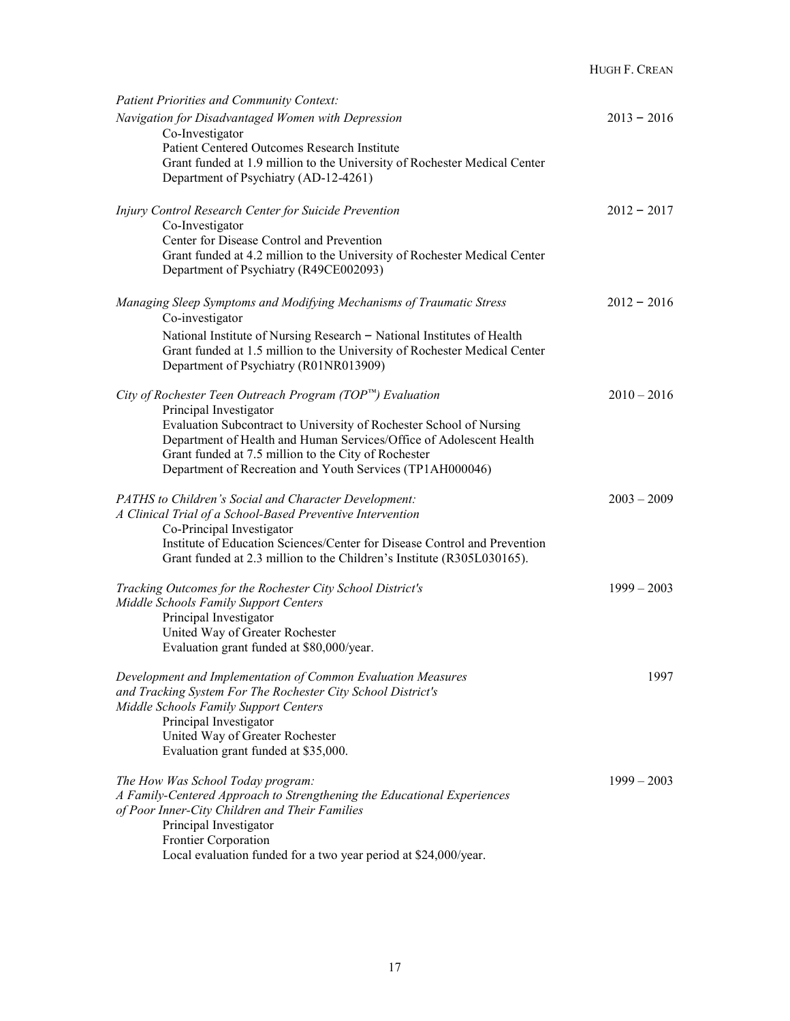| <b>Patient Priorities and Community Context:</b>                                                                       |               |
|------------------------------------------------------------------------------------------------------------------------|---------------|
| Navigation for Disadvantaged Women with Depression<br>Co-Investigator                                                  | $2013 - 2016$ |
| Patient Centered Outcomes Research Institute                                                                           |               |
| Grant funded at 1.9 million to the University of Rochester Medical Center                                              |               |
| Department of Psychiatry (AD-12-4261)                                                                                  |               |
| Injury Control Research Center for Suicide Prevention                                                                  | $2012 - 2017$ |
| Co-Investigator                                                                                                        |               |
| Center for Disease Control and Prevention<br>Grant funded at 4.2 million to the University of Rochester Medical Center |               |
| Department of Psychiatry (R49CE002093)                                                                                 |               |
| Managing Sleep Symptoms and Modifying Mechanisms of Traumatic Stress<br>Co-investigator                                | $2012 - 2016$ |
| National Institute of Nursing Research - National Institutes of Health                                                 |               |
| Grant funded at 1.5 million to the University of Rochester Medical Center                                              |               |
| Department of Psychiatry (R01NR013909)                                                                                 |               |
| City of Rochester Teen Outreach Program ( $TOP^m$ ) Evaluation                                                         | $2010 - 2016$ |
| Principal Investigator<br>Evaluation Subcontract to University of Rochester School of Nursing                          |               |
| Department of Health and Human Services/Office of Adolescent Health                                                    |               |
| Grant funded at 7.5 million to the City of Rochester                                                                   |               |
| Department of Recreation and Youth Services (TP1AH000046)                                                              |               |
| PATHS to Children's Social and Character Development:                                                                  | $2003 - 2009$ |
| A Clinical Trial of a School-Based Preventive Intervention                                                             |               |
| Co-Principal Investigator                                                                                              |               |
| Institute of Education Sciences/Center for Disease Control and Prevention                                              |               |
| Grant funded at 2.3 million to the Children's Institute (R305L030165).                                                 |               |
| Tracking Outcomes for the Rochester City School District's                                                             | $1999 - 2003$ |
| Middle Schools Family Support Centers                                                                                  |               |
| Principal Investigator<br>United Way of Greater Rochester                                                              |               |
| Evaluation grant funded at \$80,000/year.                                                                              |               |
| Development and Implementation of Common Evaluation Measures                                                           | 1997          |
| and Tracking System For The Rochester City School District's                                                           |               |
| Middle Schools Family Support Centers                                                                                  |               |
| Principal Investigator                                                                                                 |               |
| United Way of Greater Rochester                                                                                        |               |
| Evaluation grant funded at \$35,000.                                                                                   |               |
| The How Was School Today program:                                                                                      | $1999 - 2003$ |
| A Family-Centered Approach to Strengthening the Educational Experiences                                                |               |
| of Poor Inner-City Children and Their Families                                                                         |               |
| Principal Investigator                                                                                                 |               |
| Frontier Corporation                                                                                                   |               |
| Local evaluation funded for a two year period at \$24,000/year.                                                        |               |